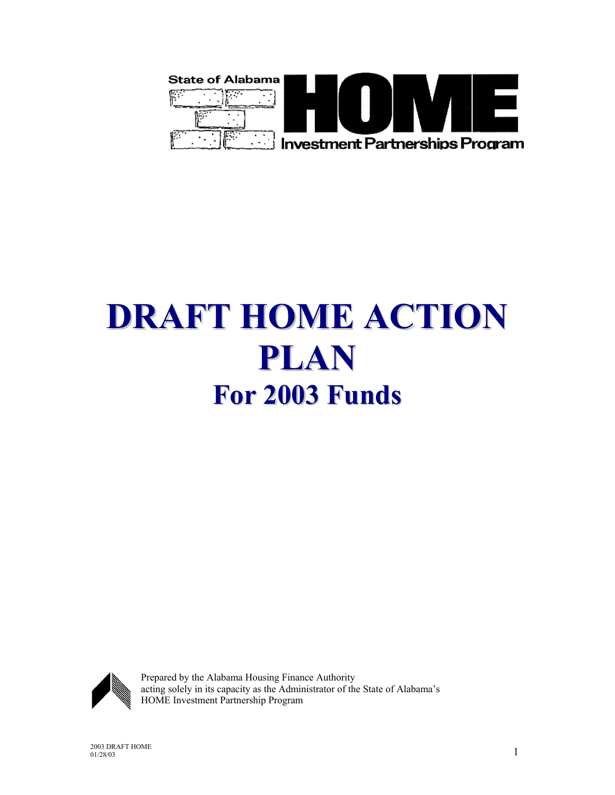

# **DRAFT HOME ACTION PLAN For 2003 Funds**



Prepared by the Alabama Housing Finance Authority acting solely in its capacity as the Administrator of the State of Alabama's HOME Investment Partnership Program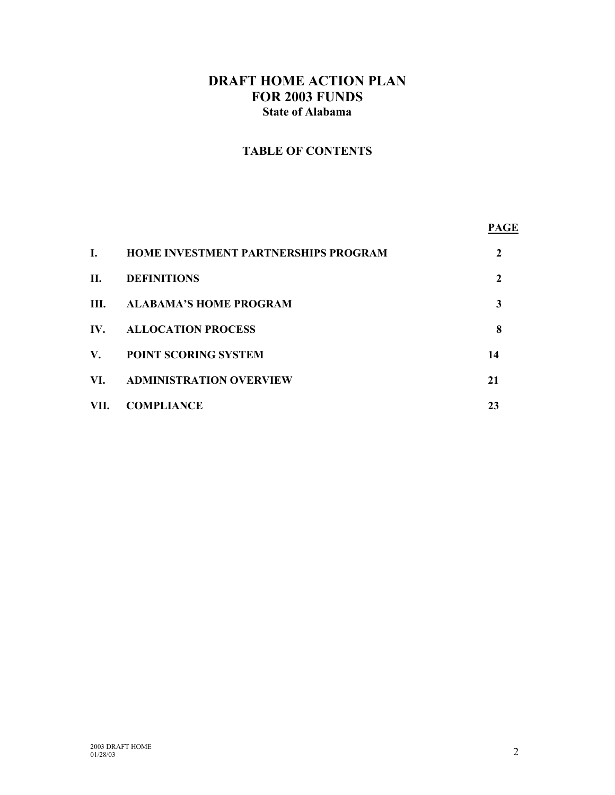# **DRAFT HOME ACTION PLAN FOR 2003 FUNDS State of Alabama**

# **TABLE OF CONTENTS**

| L.                   | <b>HOME INVESTMENT PARTNERSHIPS PROGRAM</b> |              |  |
|----------------------|---------------------------------------------|--------------|--|
| П.                   | <b>DEFINITIONS</b>                          | $\mathbf{2}$ |  |
|                      | III. ALABAMA'S HOME PROGRAM                 | 3            |  |
| IV.                  | <b>ALLOCATION PROCESS</b>                   | 8            |  |
| $\mathbf{V}_{\cdot}$ | <b>POINT SCORING SYSTEM</b>                 | 14           |  |
| VI.                  | <b>ADMINISTRATION OVERVIEW</b>              | 21           |  |
| VII.                 | <b>COMPLIANCE</b>                           | 23           |  |
|                      |                                             |              |  |

**PAGE**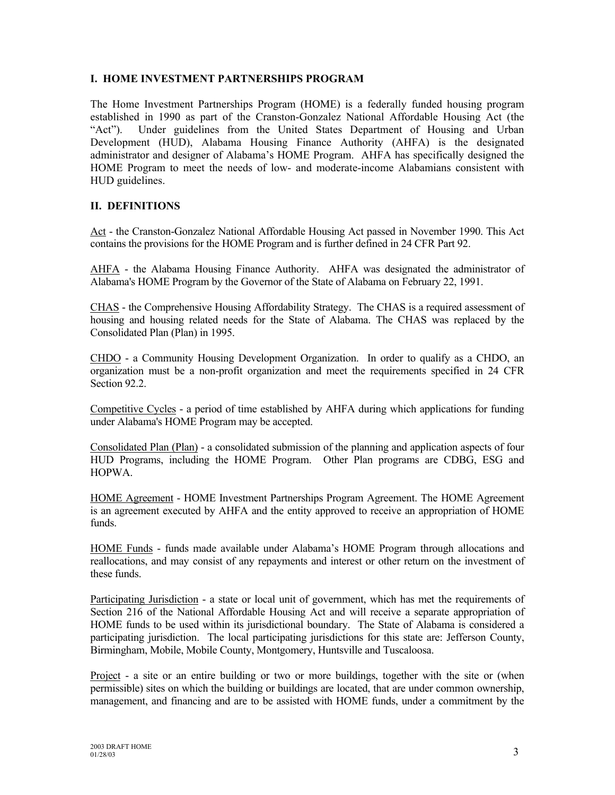## **I. HOME INVESTMENT PARTNERSHIPS PROGRAM**

The Home Investment Partnerships Program (HOME) is a federally funded housing program established in 1990 as part of the Cranston-Gonzalez National Affordable Housing Act (the "Act"). Under guidelines from the United States Department of Housing and Urban Development (HUD), Alabama Housing Finance Authority (AHFA) is the designated administrator and designer of Alabama's HOME Program. AHFA has specifically designed the HOME Program to meet the needs of low- and moderate-income Alabamians consistent with HUD guidelines.

## **II. DEFINITIONS**

Act - the Cranston-Gonzalez National Affordable Housing Act passed in November 1990. This Act contains the provisions for the HOME Program and is further defined in 24 CFR Part 92.

AHFA - the Alabama Housing Finance Authority. AHFA was designated the administrator of Alabama's HOME Program by the Governor of the State of Alabama on February 22, 1991.

CHAS - the Comprehensive Housing Affordability Strategy. The CHAS is a required assessment of housing and housing related needs for the State of Alabama. The CHAS was replaced by the Consolidated Plan (Plan) in 1995.

CHDO - a Community Housing Development Organization. In order to qualify as a CHDO, an organization must be a non-profit organization and meet the requirements specified in 24 CFR Section 92.2.

Competitive Cycles - a period of time established by AHFA during which applications for funding under Alabama's HOME Program may be accepted.

Consolidated Plan (Plan) - a consolidated submission of the planning and application aspects of four HUD Programs, including the HOME Program. Other Plan programs are CDBG, ESG and HOPWA.

HOME Agreement - HOME Investment Partnerships Program Agreement. The HOME Agreement is an agreement executed by AHFA and the entity approved to receive an appropriation of HOME funds.

HOME Funds - funds made available under Alabama's HOME Program through allocations and reallocations, and may consist of any repayments and interest or other return on the investment of these funds.

Participating Jurisdiction - a state or local unit of government, which has met the requirements of Section 216 of the National Affordable Housing Act and will receive a separate appropriation of HOME funds to be used within its jurisdictional boundary. The State of Alabama is considered a participating jurisdiction. The local participating jurisdictions for this state are: Jefferson County, Birmingham, Mobile, Mobile County, Montgomery, Huntsville and Tuscaloosa.

Project - a site or an entire building or two or more buildings, together with the site or (when permissible) sites on which the building or buildings are located, that are under common ownership, management, and financing and are to be assisted with HOME funds, under a commitment by the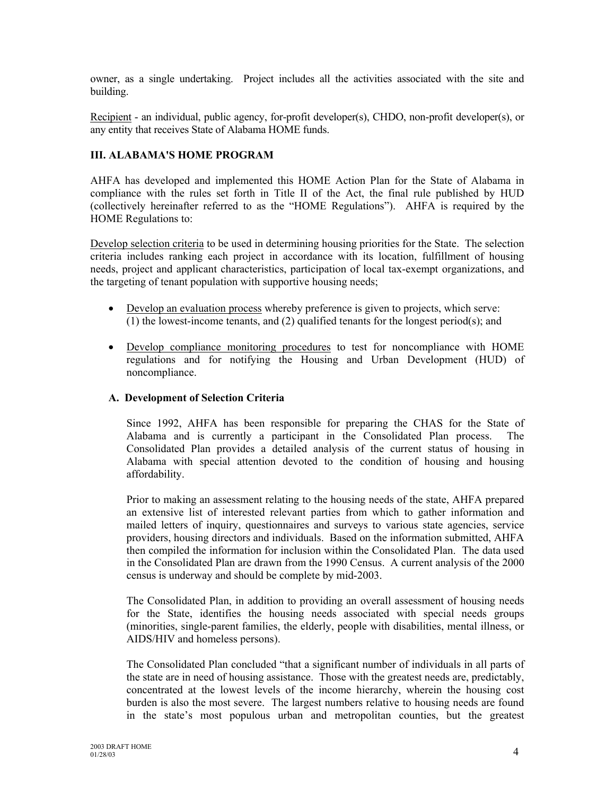owner, as a single undertaking. Project includes all the activities associated with the site and building.

Recipient - an individual, public agency, for-profit developer(s), CHDO, non-profit developer(s), or any entity that receives State of Alabama HOME funds.

## **III. ALABAMA'S HOME PROGRAM**

AHFA has developed and implemented this HOME Action Plan for the State of Alabama in compliance with the rules set forth in Title II of the Act, the final rule published by HUD (collectively hereinafter referred to as the "HOME Regulations"). AHFA is required by the HOME Regulations to:

Develop selection criteria to be used in determining housing priorities for the State. The selection criteria includes ranking each project in accordance with its location, fulfillment of housing needs, project and applicant characteristics, participation of local tax-exempt organizations, and the targeting of tenant population with supportive housing needs;

- Develop an evaluation process whereby preference is given to projects, which serve: (1) the lowest-income tenants, and (2) qualified tenants for the longest period(s); and
- Develop compliance monitoring procedures to test for noncompliance with HOME regulations and for notifying the Housing and Urban Development (HUD) of noncompliance.

## **A. Development of Selection Criteria**

Since 1992, AHFA has been responsible for preparing the CHAS for the State of Alabama and is currently a participant in the Consolidated Plan process. The Consolidated Plan provides a detailed analysis of the current status of housing in Alabama with special attention devoted to the condition of housing and housing affordability.

Prior to making an assessment relating to the housing needs of the state, AHFA prepared an extensive list of interested relevant parties from which to gather information and mailed letters of inquiry, questionnaires and surveys to various state agencies, service providers, housing directors and individuals. Based on the information submitted, AHFA then compiled the information for inclusion within the Consolidated Plan. The data used in the Consolidated Plan are drawn from the 1990 Census. A current analysis of the 2000 census is underway and should be complete by mid-2003.

The Consolidated Plan, in addition to providing an overall assessment of housing needs for the State, identifies the housing needs associated with special needs groups (minorities, single-parent families, the elderly, people with disabilities, mental illness, or AIDS/HIV and homeless persons).

The Consolidated Plan concluded "that a significant number of individuals in all parts of the state are in need of housing assistance. Those with the greatest needs are, predictably, concentrated at the lowest levels of the income hierarchy, wherein the housing cost burden is also the most severe. The largest numbers relative to housing needs are found in the state's most populous urban and metropolitan counties, but the greatest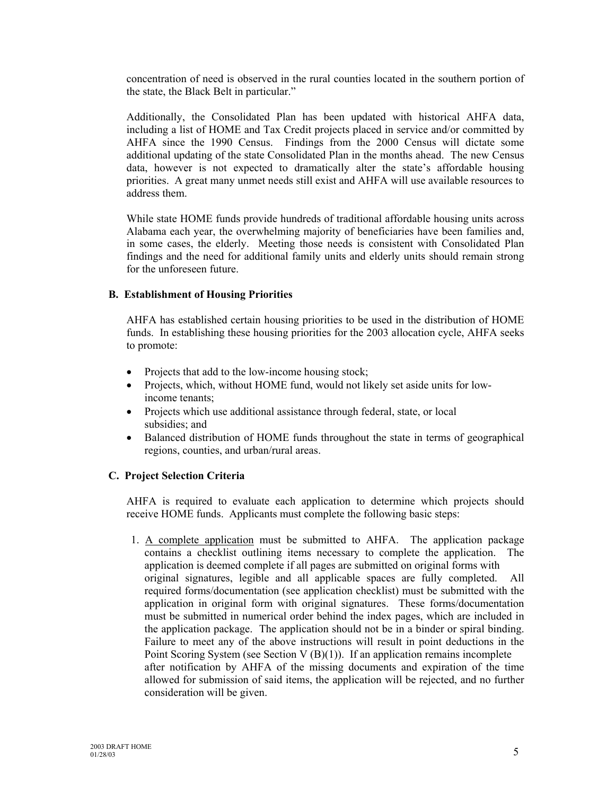concentration of need is observed in the rural counties located in the southern portion of the state, the Black Belt in particular."

Additionally, the Consolidated Plan has been updated with historical AHFA data, including a list of HOME and Tax Credit projects placed in service and/or committed by AHFA since the 1990 Census. Findings from the 2000 Census will dictate some additional updating of the state Consolidated Plan in the months ahead. The new Census data, however is not expected to dramatically alter the state's affordable housing priorities. A great many unmet needs still exist and AHFA will use available resources to address them.

While state HOME funds provide hundreds of traditional affordable housing units across Alabama each year, the overwhelming majority of beneficiaries have been families and, in some cases, the elderly. Meeting those needs is consistent with Consolidated Plan findings and the need for additional family units and elderly units should remain strong for the unforeseen future.

#### **B. Establishment of Housing Priorities**

AHFA has established certain housing priorities to be used in the distribution of HOME funds. In establishing these housing priorities for the 2003 allocation cycle, AHFA seeks to promote:

- Projects that add to the low-income housing stock;
- Projects, which, without HOME fund, would not likely set aside units for lowincome tenants;
- Projects which use additional assistance through federal, state, or local subsidies; and
- Balanced distribution of HOME funds throughout the state in terms of geographical regions, counties, and urban/rural areas.

#### **C. Project Selection Criteria**

AHFA is required to evaluate each application to determine which projects should receive HOME funds. Applicants must complete the following basic steps:

1. A complete application must be submitted to AHFA. The application package contains a checklist outlining items necessary to complete the application. The application is deemed complete if all pages are submitted on original forms with original signatures, legible and all applicable spaces are fully completed. All required forms/documentation (see application checklist) must be submitted with the application in original form with original signatures. These forms/documentation must be submitted in numerical order behind the index pages, which are included in the application package. The application should not be in a binder or spiral binding. Failure to meet any of the above instructions will result in point deductions in the Point Scoring System (see Section V  $(B)(1)$ ). If an application remains incomplete after notification by AHFA of the missing documents and expiration of the time allowed for submission of said items, the application will be rejected, and no further consideration will be given.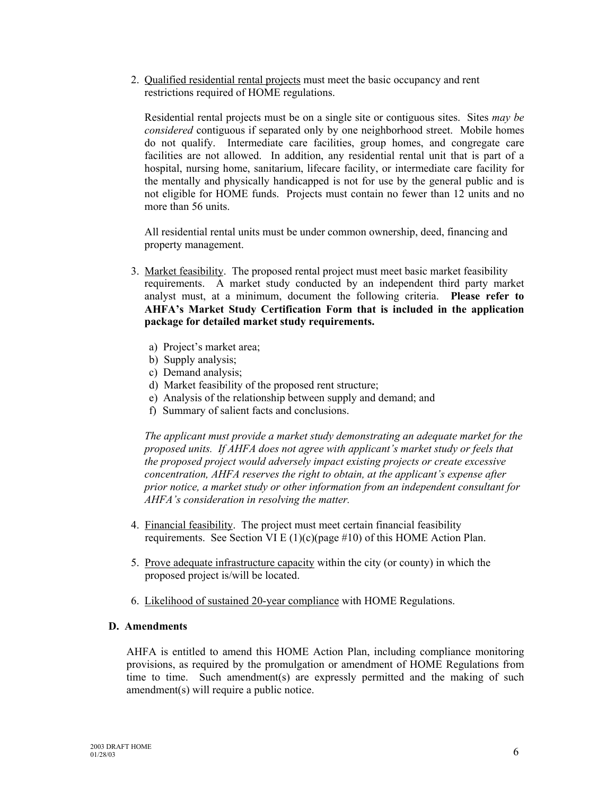2. Qualified residential rental projects must meet the basic occupancy and rent restrictions required of HOME regulations.

Residential rental projects must be on a single site or contiguous sites. Sites *may be considered* contiguous if separated only by one neighborhood street. Mobile homes do not qualify. Intermediate care facilities, group homes, and congregate care facilities are not allowed. In addition, any residential rental unit that is part of a hospital, nursing home, sanitarium, lifecare facility, or intermediate care facility for the mentally and physically handicapped is not for use by the general public and is not eligible for HOME funds. Projects must contain no fewer than 12 units and no more than 56 units.

All residential rental units must be under common ownership, deed, financing and property management.

- 3. Market feasibility. The proposed rental project must meet basic market feasibility requirements. A market study conducted by an independent third party market analyst must, at a minimum, document the following criteria. **Please refer to AHFA's Market Study Certification Form that is included in the application package for detailed market study requirements.**
	- a) Project's market area;
	- b) Supply analysis;
	- c) Demand analysis;
	- d) Market feasibility of the proposed rent structure;
	- e) Analysis of the relationship between supply and demand; and
	- f) Summary of salient facts and conclusions.

*The applicant must provide a market study demonstrating an adequate market for the proposed units. If AHFA does not agree with applicant's market study or feels that the proposed project would adversely impact existing projects or create excessive concentration, AHFA reserves the right to obtain, at the applicant's expense after prior notice, a market study or other information from an independent consultant for AHFA's consideration in resolving the matter.*

- 4. Financial feasibility. The project must meet certain financial feasibility requirements. See Section VI E  $(1)(c)(page #10)$  of this HOME Action Plan.
- 5. Prove adequate infrastructure capacity within the city (or county) in which the proposed project is/will be located.
- 6. Likelihood of sustained 20-year compliance with HOME Regulations.

#### **D. Amendments**

AHFA is entitled to amend this HOME Action Plan, including compliance monitoring provisions, as required by the promulgation or amendment of HOME Regulations from time to time. Such amendment(s) are expressly permitted and the making of such amendment(s) will require a public notice.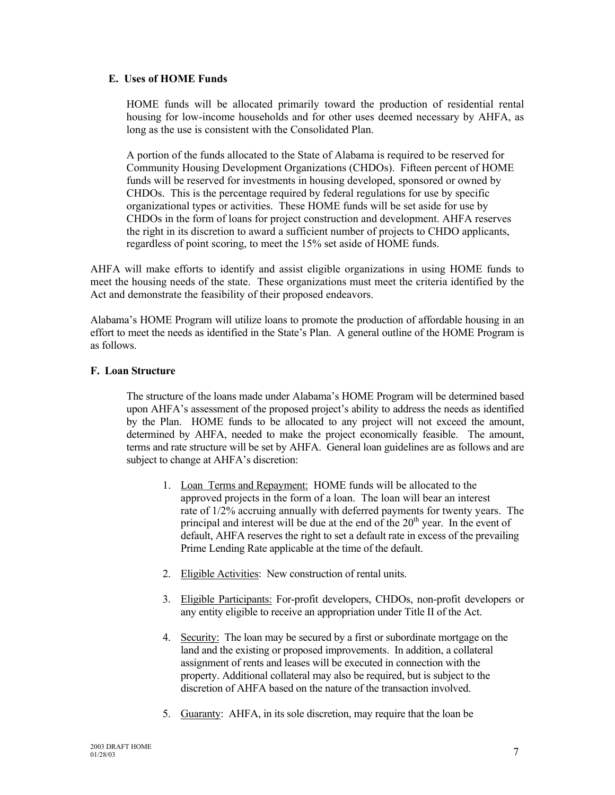#### **E. Uses of HOME Funds**

HOME funds will be allocated primarily toward the production of residential rental housing for low-income households and for other uses deemed necessary by AHFA, as long as the use is consistent with the Consolidated Plan.

A portion of the funds allocated to the State of Alabama is required to be reserved for Community Housing Development Organizations (CHDOs). Fifteen percent of HOME funds will be reserved for investments in housing developed, sponsored or owned by CHDOs. This is the percentage required by federal regulations for use by specific organizational types or activities. These HOME funds will be set aside for use by CHDOs in the form of loans for project construction and development. AHFA reserves the right in its discretion to award a sufficient number of projects to CHDO applicants, regardless of point scoring, to meet the 15% set aside of HOME funds.

AHFA will make efforts to identify and assist eligible organizations in using HOME funds to meet the housing needs of the state. These organizations must meet the criteria identified by the Act and demonstrate the feasibility of their proposed endeavors.

Alabama's HOME Program will utilize loans to promote the production of affordable housing in an effort to meet the needs as identified in the State's Plan. A general outline of the HOME Program is as follows.

#### **F. Loan Structure**

The structure of the loans made under Alabama's HOME Program will be determined based upon AHFA's assessment of the proposed project's ability to address the needs as identified by the Plan. HOME funds to be allocated to any project will not exceed the amount, determined by AHFA, needed to make the project economically feasible. The amount, terms and rate structure will be set by AHFA. General loan guidelines are as follows and are subject to change at AHFA's discretion:

- 1. Loan Terms and Repayment: HOME funds will be allocated to the approved projects in the form of a loan. The loan will bear an interest rate of 1/2% accruing annually with deferred payments for twenty years. The principal and interest will be due at the end of the  $20<sup>th</sup>$  year. In the event of default, AHFA reserves the right to set a default rate in excess of the prevailing Prime Lending Rate applicable at the time of the default.
- 2. Eligible Activities: New construction of rental units.
- 3. Eligible Participants: For-profit developers, CHDOs, non-profit developers or any entity eligible to receive an appropriation under Title II of the Act.
- 4. Security: The loan may be secured by a first or subordinate mortgage on the land and the existing or proposed improvements. In addition, a collateral assignment of rents and leases will be executed in connection with the property. Additional collateral may also be required, but is subject to the discretion of AHFA based on the nature of the transaction involved.
- 5. Guaranty: AHFA, in its sole discretion, may require that the loan be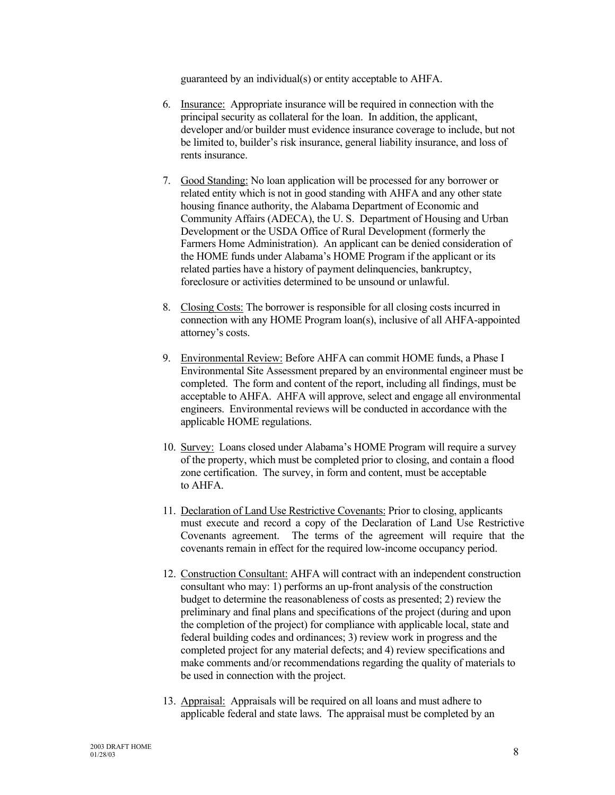guaranteed by an individual(s) or entity acceptable to AHFA.

- 6. Insurance: Appropriate insurance will be required in connection with the principal security as collateral for the loan. In addition, the applicant, developer and/or builder must evidence insurance coverage to include, but not be limited to, builder's risk insurance, general liability insurance, and loss of rents insurance.
- 7. Good Standing: No loan application will be processed for any borrower or related entity which is not in good standing with AHFA and any other state housing finance authority, the Alabama Department of Economic and Community Affairs (ADECA), the U. S. Department of Housing and Urban Development or the USDA Office of Rural Development (formerly the Farmers Home Administration). An applicant can be denied consideration of the HOME funds under Alabama's HOME Program if the applicant or its related parties have a history of payment delinquencies, bankruptcy, foreclosure or activities determined to be unsound or unlawful.
- 8. Closing Costs: The borrower is responsible for all closing costs incurred in connection with any HOME Program loan(s), inclusive of all AHFA-appointed attorney's costs.
- 9. Environmental Review: Before AHFA can commit HOME funds, a Phase I Environmental Site Assessment prepared by an environmental engineer must be completed. The form and content of the report, including all findings, must be acceptable to AHFA. AHFA will approve, select and engage all environmental engineers. Environmental reviews will be conducted in accordance with the applicable HOME regulations.
- 10. Survey: Loans closed under Alabama's HOME Program will require a survey of the property, which must be completed prior to closing, and contain a flood zone certification. The survey, in form and content, must be acceptable to AHFA.
- 11. Declaration of Land Use Restrictive Covenants: Prior to closing, applicants must execute and record a copy of the Declaration of Land Use Restrictive Covenants agreement. The terms of the agreement will require that the covenants remain in effect for the required low-income occupancy period.
- 12. Construction Consultant: AHFA will contract with an independent construction consultant who may: 1) performs an up-front analysis of the construction budget to determine the reasonableness of costs as presented; 2) review the preliminary and final plans and specifications of the project (during and upon the completion of the project) for compliance with applicable local, state and federal building codes and ordinances; 3) review work in progress and the completed project for any material defects; and 4) review specifications and make comments and/or recommendations regarding the quality of materials to be used in connection with the project.
- 13. Appraisal: Appraisals will be required on all loans and must adhere to applicable federal and state laws. The appraisal must be completed by an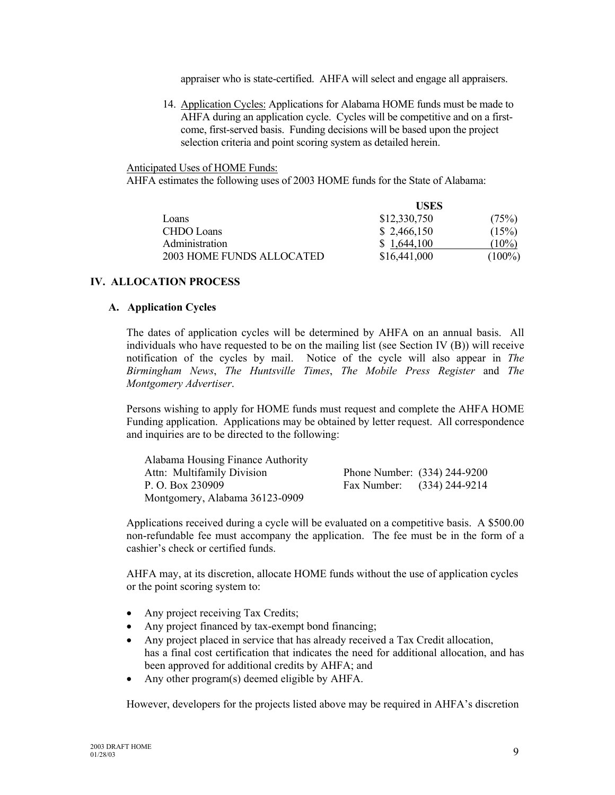appraiser who is state-certified. AHFA will select and engage all appraisers.

14. Application Cycles: Applications for Alabama HOME funds must be made to AHFA during an application cycle. Cycles will be competitive and on a firstcome, first-served basis. Funding decisions will be based upon the project selection criteria and point scoring system as detailed herein.

Anticipated Uses of HOME Funds:

AHFA estimates the following uses of 2003 HOME funds for the State of Alabama:

|                           | <b>USES</b>  |           |
|---------------------------|--------------|-----------|
| Loans                     | \$12,330,750 | (75%)     |
| <b>CHDO</b> Loans         | \$2,466,150  | (15%)     |
| Administration            | \$1,644,100  | $(10\%)$  |
| 2003 HOME FUNDS ALLOCATED | \$16,441,000 | $(100\%)$ |

## **IV. ALLOCATION PROCESS**

#### **A. Application Cycles**

The dates of application cycles will be determined by AHFA on an annual basis. All individuals who have requested to be on the mailing list (see Section IV (B)) will receive notification of the cycles by mail. Notice of the cycle will also appear in *The Birmingham News*, *The Huntsville Times*, *The Mobile Press Register* and *The Montgomery Advertiser*.

Persons wishing to apply for HOME funds must request and complete the AHFA HOME Funding application. Applications may be obtained by letter request. All correspondence and inquiries are to be directed to the following:

| Alabama Housing Finance Authority |                              |  |
|-----------------------------------|------------------------------|--|
| Attn: Multifamily Division        | Phone Number: (334) 244-9200 |  |
| P. O. Box 230909                  | Fax Number: (334) 244-9214   |  |
| Montgomery, Alabama 36123-0909    |                              |  |

Applications received during a cycle will be evaluated on a competitive basis. A \$500.00 non-refundable fee must accompany the application. The fee must be in the form of a cashier's check or certified funds.

AHFA may, at its discretion, allocate HOME funds without the use of application cycles or the point scoring system to:

- Any project receiving Tax Credits;
- Any project financed by tax-exempt bond financing;
- Any project placed in service that has already received a Tax Credit allocation, has a final cost certification that indicates the need for additional allocation, and has been approved for additional credits by AHFA; and
- Any other program(s) deemed eligible by AHFA.

However, developers for the projects listed above may be required in AHFA's discretion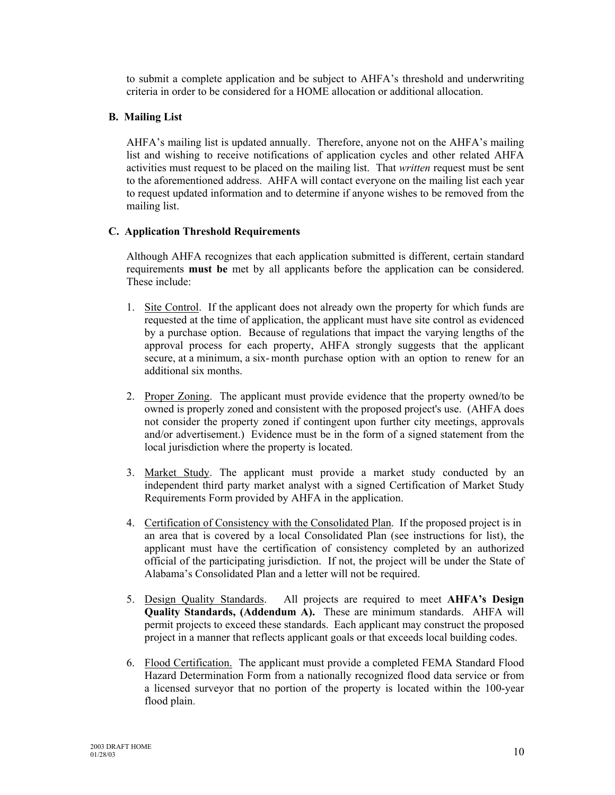to submit a complete application and be subject to AHFA's threshold and underwriting criteria in order to be considered for a HOME allocation or additional allocation.

## **B. Mailing List**

AHFA's mailing list is updated annually. Therefore, anyone not on the AHFA's mailing list and wishing to receive notifications of application cycles and other related AHFA activities must request to be placed on the mailing list. That *written* request must be sent to the aforementioned address. AHFA will contact everyone on the mailing list each year to request updated information and to determine if anyone wishes to be removed from the mailing list.

## **C. Application Threshold Requirements**

Although AHFA recognizes that each application submitted is different, certain standard requirements **must be** met by all applicants before the application can be considered. These include:

- 1. Site Control. If the applicant does not already own the property for which funds are requested at the time of application, the applicant must have site control as evidenced by a purchase option. Because of regulations that impact the varying lengths of the approval process for each property, AHFA strongly suggests that the applicant secure, at a minimum, a six- month purchase option with an option to renew for an additional six months.
- 2. Proper Zoning. The applicant must provide evidence that the property owned/to be owned is properly zoned and consistent with the proposed project's use. (AHFA does not consider the property zoned if contingent upon further city meetings, approvals and/or advertisement.) Evidence must be in the form of a signed statement from the local jurisdiction where the property is located.
- 3. Market Study. The applicant must provide a market study conducted by an independent third party market analyst with a signed Certification of Market Study Requirements Form provided by AHFA in the application.
- 4. Certification of Consistency with the Consolidated Plan. If the proposed project is in an area that is covered by a local Consolidated Plan (see instructions for list), the applicant must have the certification of consistency completed by an authorized official of the participating jurisdiction. If not, the project will be under the State of Alabama's Consolidated Plan and a letter will not be required.
- 5. Design Quality Standards. All projects are required to meet **AHFA's Design Quality Standards, (Addendum A).** These are minimum standards. AHFA will permit projects to exceed these standards. Each applicant may construct the proposed project in a manner that reflects applicant goals or that exceeds local building codes.
- 6. Flood Certification. The applicant must provide a completed FEMA Standard Flood Hazard Determination Form from a nationally recognized flood data service or from a licensed surveyor that no portion of the property is located within the 100-year flood plain.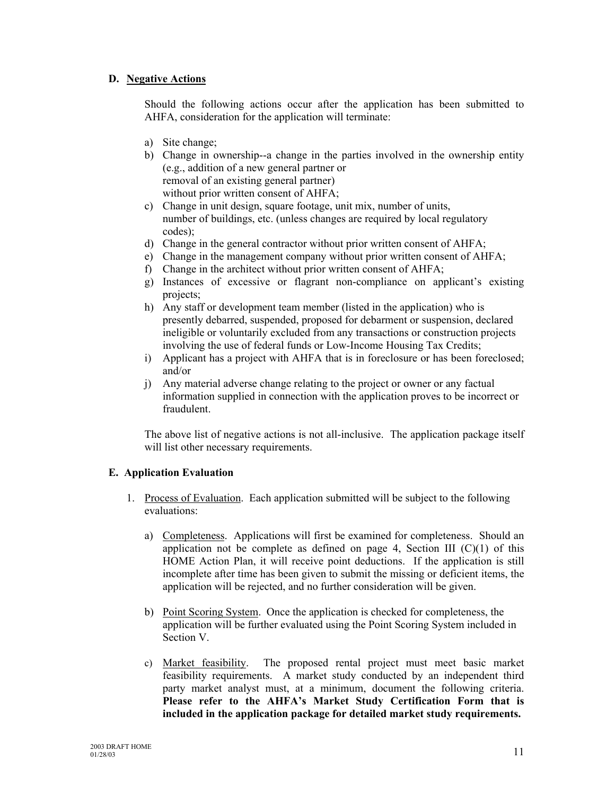## **D. Negative Actions**

Should the following actions occur after the application has been submitted to AHFA, consideration for the application will terminate:

- a) Site change;
- b) Change in ownership--a change in the parties involved in the ownership entity (e.g., addition of a new general partner or removal of an existing general partner) without prior written consent of AHFA;
- c) Change in unit design, square footage, unit mix, number of units, number of buildings, etc. (unless changes are required by local regulatory codes);
- d) Change in the general contractor without prior written consent of AHFA;
- e) Change in the management company without prior written consent of AHFA;
- f) Change in the architect without prior written consent of AHFA;
- g) Instances of excessive or flagrant non-compliance on applicant's existing projects;
- h) Any staff or development team member (listed in the application) who is presently debarred, suspended, proposed for debarment or suspension, declared ineligible or voluntarily excluded from any transactions or construction projects involving the use of federal funds or Low-Income Housing Tax Credits;
- i) Applicant has a project with AHFA that is in foreclosure or has been foreclosed; and/or
- j) Any material adverse change relating to the project or owner or any factual information supplied in connection with the application proves to be incorrect or fraudulent.

The above list of negative actions is not all-inclusive. The application package itself will list other necessary requirements.

## **E. Application Evaluation**

- 1. Process of Evaluation. Each application submitted will be subject to the following evaluations:
	- a) Completeness. Applications will first be examined for completeness. Should an application not be complete as defined on page 4, Section III  $(C)(1)$  of this HOME Action Plan, it will receive point deductions. If the application is still incomplete after time has been given to submit the missing or deficient items, the application will be rejected, and no further consideration will be given.
	- b) Point Scoring System. Once the application is checked for completeness, the application will be further evaluated using the Point Scoring System included in Section V.
	- c) Market feasibility. The proposed rental project must meet basic market feasibility requirements. A market study conducted by an independent third party market analyst must, at a minimum, document the following criteria. **Please refer to the AHFA's Market Study Certification Form that is included in the application package for detailed market study requirements.**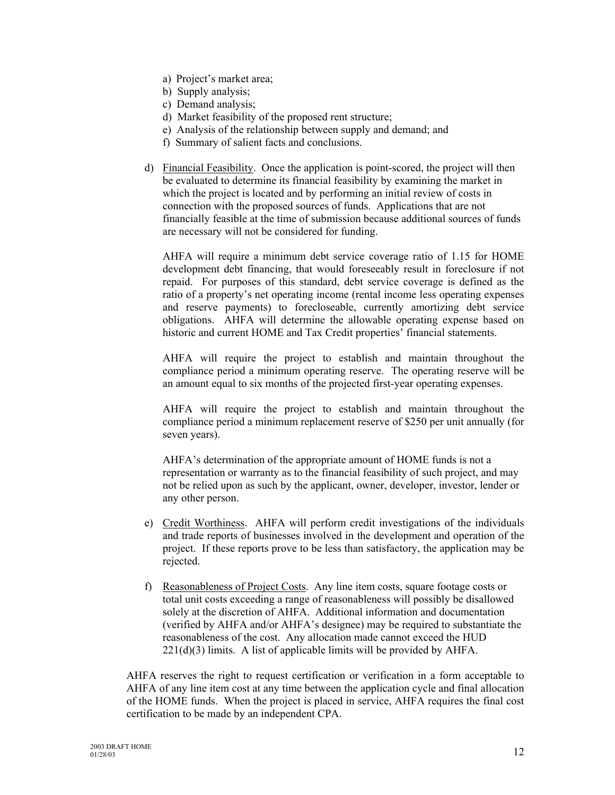- a) Project's market area;
- b) Supply analysis;
- c) Demand analysis;
- d) Market feasibility of the proposed rent structure;
- e) Analysis of the relationship between supply and demand; and
- f) Summary of salient facts and conclusions.
- d) Financial Feasibility. Once the application is point-scored, the project will then be evaluated to determine its financial feasibility by examining the market in which the project is located and by performing an initial review of costs in connection with the proposed sources of funds. Applications that are not financially feasible at the time of submission because additional sources of funds are necessary will not be considered for funding.

AHFA will require a minimum debt service coverage ratio of 1.15 for HOME development debt financing, that would foreseeably result in foreclosure if not repaid. For purposes of this standard, debt service coverage is defined as the ratio of a property's net operating income (rental income less operating expenses and reserve payments) to forecloseable, currently amortizing debt service obligations. AHFA will determine the allowable operating expense based on historic and current HOME and Tax Credit properties' financial statements.

AHFA will require the project to establish and maintain throughout the compliance period a minimum operating reserve. The operating reserve will be an amount equal to six months of the projected first-year operating expenses.

AHFA will require the project to establish and maintain throughout the compliance period a minimum replacement reserve of \$250 per unit annually (for seven years).

AHFA's determination of the appropriate amount of HOME funds is not a representation or warranty as to the financial feasibility of such project, and may not be relied upon as such by the applicant, owner, developer, investor, lender or any other person.

- e) Credit Worthiness. AHFA will perform credit investigations of the individuals and trade reports of businesses involved in the development and operation of the project. If these reports prove to be less than satisfactory, the application may be rejected.
- f) Reasonableness of Project Costs. Any line item costs, square footage costs or total unit costs exceeding a range of reasonableness will possibly be disallowed solely at the discretion of AHFA. Additional information and documentation (verified by AHFA and/or AHFA's designee) may be required to substantiate the reasonableness of the cost. Any allocation made cannot exceed the HUD  $221(d)(3)$  limits. A list of applicable limits will be provided by AHFA.

AHFA reserves the right to request certification or verification in a form acceptable to AHFA of any line item cost at any time between the application cycle and final allocation of the HOME funds. When the project is placed in service, AHFA requires the final cost certification to be made by an independent CPA.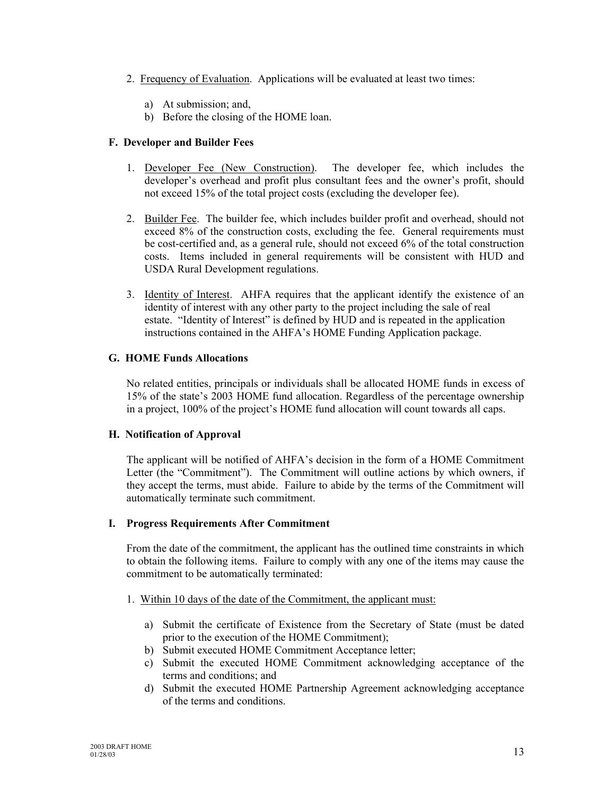- 2. Frequency of Evaluation. Applications will be evaluated at least two times:
	- a) At submission; and,
	- b) Before the closing of the HOME loan.

## **F. Developer and Builder Fees**

- 1. Developer Fee (New Construction). The developer fee, which includes the developer's overhead and profit plus consultant fees and the owner's profit, should not exceed 15% of the total project costs (excluding the developer fee).
- 2. Builder Fee. The builder fee, which includes builder profit and overhead, should not exceed 8% of the construction costs, excluding the fee. General requirements must be cost-certified and, as a general rule, should not exceed 6% of the total construction costs. Items included in general requirements will be consistent with HUD and USDA Rural Development regulations.
- 3. Identity of Interest. AHFA requires that the applicant identify the existence of an identity of interest with any other party to the project including the sale of real estate. "Identity of Interest" is defined by HUD and is repeated in the application instructions contained in the AHFA's HOME Funding Application package.

## **G. HOME Funds Allocations**

No related entities, principals or individuals shall be allocated HOME funds in excess of 15% of the state's 2003 HOME fund allocation. Regardless of the percentage ownership in a project, 100% of the project's HOME fund allocation will count towards all caps.

## **H. Notification of Approval**

The applicant will be notified of AHFA's decision in the form of a HOME Commitment Letter (the "Commitment"). The Commitment will outline actions by which owners, if they accept the terms, must abide. Failure to abide by the terms of the Commitment will automatically terminate such commitment.

## **I. Progress Requirements After Commitment**

From the date of the commitment, the applicant has the outlined time constraints in which to obtain the following items. Failure to comply with any one of the items may cause the commitment to be automatically terminated:

- 1. Within 10 days of the date of the Commitment, the applicant must:
	- a) Submit the certificate of Existence from the Secretary of State (must be dated prior to the execution of the HOME Commitment);
	- b) Submit executed HOME Commitment Acceptance letter;
	- c) Submit the executed HOME Commitment acknowledging acceptance of the terms and conditions; and
	- d) Submit the executed HOME Partnership Agreement acknowledging acceptance of the terms and conditions.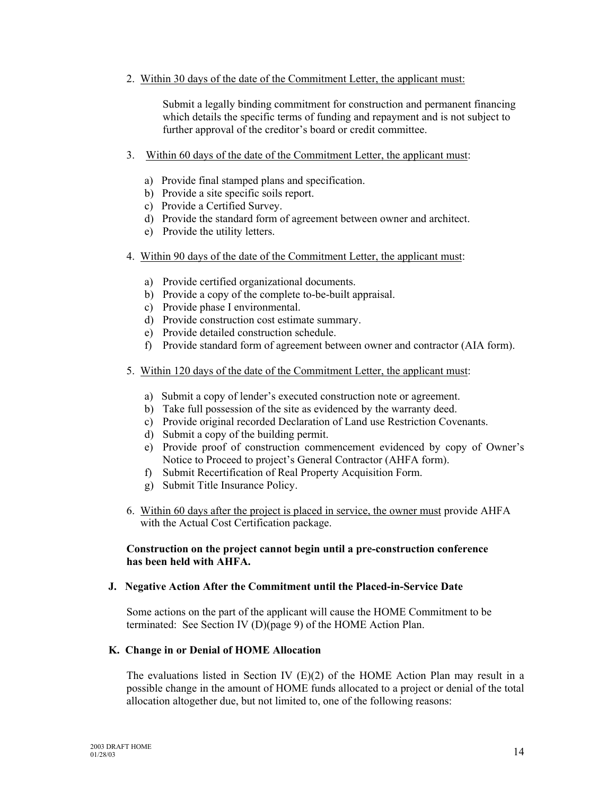2. Within 30 days of the date of the Commitment Letter, the applicant must:

Submit a legally binding commitment for construction and permanent financing which details the specific terms of funding and repayment and is not subject to further approval of the creditor's board or credit committee.

- 3. Within 60 days of the date of the Commitment Letter, the applicant must:
	- a) Provide final stamped plans and specification.
	- b) Provide a site specific soils report.
	- c) Provide a Certified Survey.
	- d) Provide the standard form of agreement between owner and architect.
	- e) Provide the utility letters.
- 4. Within 90 days of the date of the Commitment Letter, the applicant must:
	- a) Provide certified organizational documents.
	- b) Provide a copy of the complete to-be-built appraisal.
	- c) Provide phase I environmental.
	- d) Provide construction cost estimate summary.
	- e) Provide detailed construction schedule.
	- f) Provide standard form of agreement between owner and contractor (AIA form).
- 5. Within 120 days of the date of the Commitment Letter, the applicant must:
	- a) Submit a copy of lender's executed construction note or agreement.
	- b) Take full possession of the site as evidenced by the warranty deed.
	- c) Provide original recorded Declaration of Land use Restriction Covenants.
	- d) Submit a copy of the building permit.
	- e) Provide proof of construction commencement evidenced by copy of Owner's Notice to Proceed to project's General Contractor (AHFA form).
	- f) Submit Recertification of Real Property Acquisition Form.
	- g) Submit Title Insurance Policy.
- 6. Within 60 days after the project is placed in service, the owner must provide AHFA with the Actual Cost Certification package.

## **Construction on the project cannot begin until a pre-construction conference has been held with AHFA.**

## **J. Negative Action After the Commitment until the Placed-in-Service Date**

Some actions on the part of the applicant will cause the HOME Commitment to be terminated: See Section IV (D)(page 9) of the HOME Action Plan.

## **K. Change in or Denial of HOME Allocation**

The evaluations listed in Section IV  $(E)(2)$  of the HOME Action Plan may result in a possible change in the amount of HOME funds allocated to a project or denial of the total allocation altogether due, but not limited to, one of the following reasons: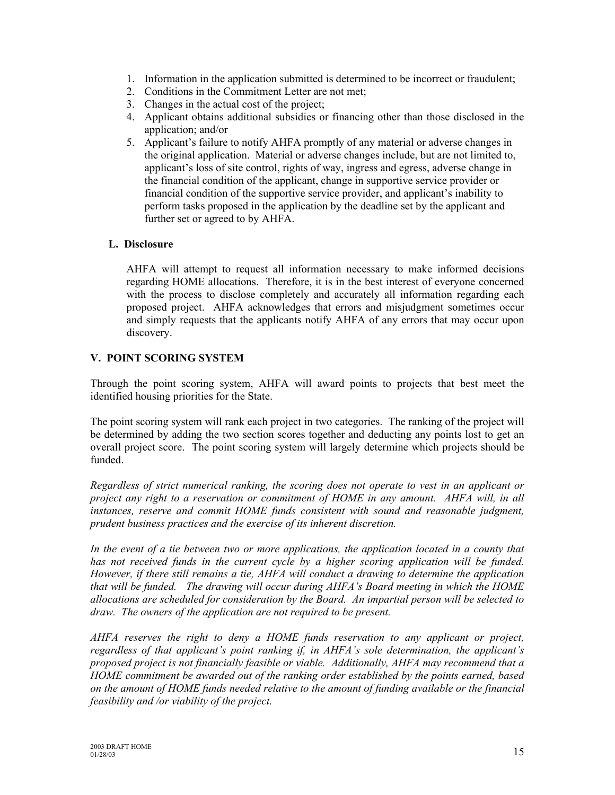- 1. Information in the application submitted is determined to be incorrect or fraudulent;
- 2. Conditions in the Commitment Letter are not met;
- 3. Changes in the actual cost of the project;
- 4. Applicant obtains additional subsidies or financing other than those disclosed in the application; and/or
- 5. Applicant's failure to notify AHFA promptly of any material or adverse changes in the original application. Material or adverse changes include, but are not limited to, applicant's loss of site control, rights of way, ingress and egress, adverse change in the financial condition of the applicant, change in supportive service provider or financial condition of the supportive service provider, and applicant's inability to perform tasks proposed in the application by the deadline set by the applicant and further set or agreed to by AHFA.

## **L. Disclosure**

AHFA will attempt to request all information necessary to make informed decisions regarding HOME allocations. Therefore, it is in the best interest of everyone concerned with the process to disclose completely and accurately all information regarding each proposed project. AHFA acknowledges that errors and misjudgment sometimes occur and simply requests that the applicants notify AHFA of any errors that may occur upon discovery.

## **V. POINT SCORING SYSTEM**

Through the point scoring system, AHFA will award points to projects that best meet the identified housing priorities for the State.

The point scoring system will rank each project in two categories. The ranking of the project will be determined by adding the two section scores together and deducting any points lost to get an overall project score. The point scoring system will largely determine which projects should be funded.

*Regardless of strict numerical ranking, the scoring does not operate to vest in an applicant or project any right to a reservation or commitment of HOME in any amount. AHFA will, in all instances, reserve and commit HOME funds consistent with sound and reasonable judgment, prudent business practices and the exercise of its inherent discretion.*

*In the event of a tie between two or more applications, the application located in a county that has not received funds in the current cycle by a higher scoring application will be funded. However, if there still remains a tie, AHFA will conduct a drawing to determine the application that will be funded. The drawing will occur during AHFA's Board meeting in which the HOME allocations are scheduled for consideration by the Board. An impartial person will be selected to draw. The owners of the application are not required to be present.*

*AHFA reserves the right to deny a HOME funds reservation to any applicant or project, regardless of that applicant's point ranking if, in AHFA's sole determination, the applicant's proposed project is not financially feasible or viable. Additionally, AHFA may recommend that a HOME commitment be awarded out of the ranking order established by the points earned, based on the amount of HOME funds needed relative to the amount of funding available or the financial feasibility and /or viability of the project.*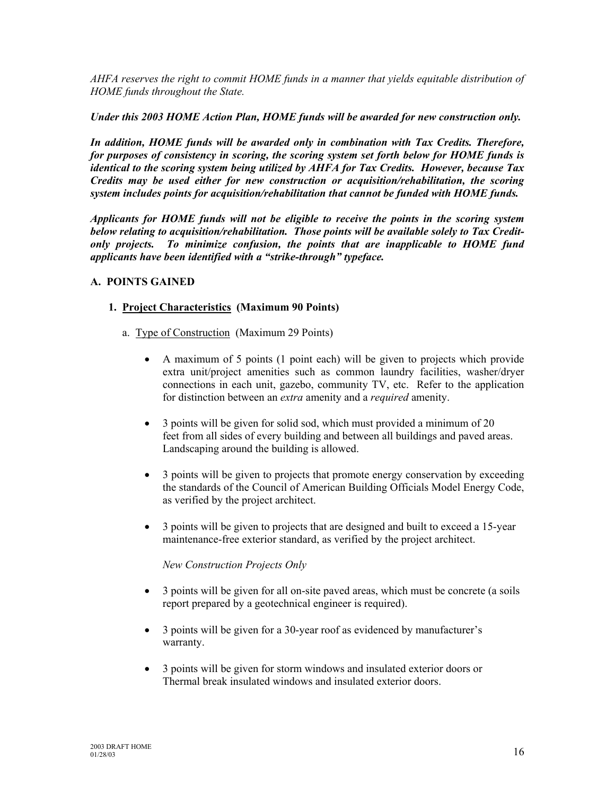*AHFA reserves the right to commit HOME funds in a manner that yields equitable distribution of HOME funds throughout the State.*

*Under this 2003 HOME Action Plan, HOME funds will be awarded for new construction only.*

*In addition, HOME funds will be awarded only in combination with Tax Credits. Therefore, for purposes of consistency in scoring, the scoring system set forth below for HOME funds is identical to the scoring system being utilized by AHFA for Tax Credits. However, because Tax Credits may be used either for new construction or acquisition/rehabilitation, the scoring system includes points for acquisition/rehabilitation that cannot be funded with HOME funds.*

*Applicants for HOME funds will not be eligible to receive the points in the scoring system below relating to acquisition/rehabilitation. Those points will be available solely to Tax Creditonly projects. To minimize confusion, the points that are inapplicable to HOME fund applicants have been identified with a "strike-through" typeface.*

## **A. POINTS GAINED**

## **1. Project Characteristics (Maximum 90 Points)**

- a. Type of Construction (Maximum 29 Points)
	- A maximum of 5 points (1 point each) will be given to projects which provide extra unit/project amenities such as common laundry facilities, washer/dryer connections in each unit, gazebo, community TV, etc. Refer to the application for distinction between an *extra* amenity and a *required* amenity.
	- 3 points will be given for solid sod, which must provided a minimum of 20 feet from all sides of every building and between all buildings and paved areas. Landscaping around the building is allowed.
	- 3 points will be given to projects that promote energy conservation by exceeding the standards of the Council of American Building Officials Model Energy Code, as verified by the project architect.
	- 3 points will be given to projects that are designed and built to exceed a 15-year maintenance-free exterior standard, as verified by the project architect.

*New Construction Projects Only*

- 3 points will be given for all on-site paved areas, which must be concrete (a soils report prepared by a geotechnical engineer is required).
- 3 points will be given for a 30-year roof as evidenced by manufacturer's warranty.
- 3 points will be given for storm windows and insulated exterior doors or Thermal break insulated windows and insulated exterior doors.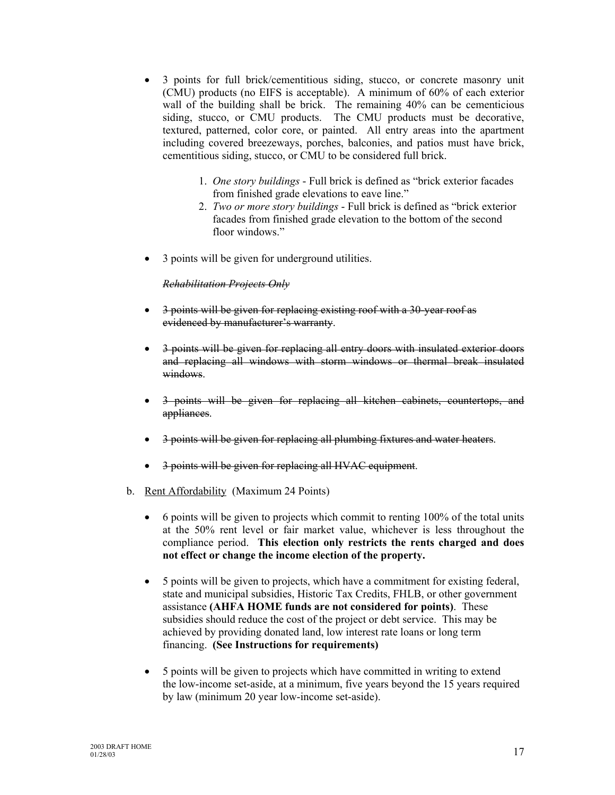- 3 points for full brick/cementitious siding, stucco, or concrete masonry unit (CMU) products (no EIFS is acceptable). A minimum of 60% of each exterior wall of the building shall be brick. The remaining 40% can be cementicious siding, stucco, or CMU products. The CMU products must be decorative, textured, patterned, color core, or painted. All entry areas into the apartment including covered breezeways, porches, balconies, and patios must have brick, cementitious siding, stucco, or CMU to be considered full brick.
	- 1. *One story buildings* Full brick is defined as "brick exterior facades from finished grade elevations to eave line."
	- 2. *Two or more story buildings* Full brick is defined as "brick exterior facades from finished grade elevation to the bottom of the second floor windows."
- 3 points will be given for underground utilities.

## *Rehabilitation Projects Only*

- 3 points will be given for replacing existing roof with a 30-year roof as evidenced by manufacturer's warranty.
- 3 points will be given for replacing all entry doors with insulated exterior doors and replacing all windows with storm windows or thermal break insulated windows.
- 3 points will be given for replacing all kitchen cabinets, countertops, and appliances.
- 3 points will be given for replacing all plumbing fixtures and water heaters.
- 3 points will be given for replacing all HVAC equipment.
- b. Rent Affordability (Maximum 24 Points)
	- 6 points will be given to projects which commit to renting 100% of the total units at the 50% rent level or fair market value, whichever is less throughout the compliance period. **This election only restricts the rents charged and does not effect or change the income election of the property.**
	- 5 points will be given to projects, which have a commitment for existing federal, state and municipal subsidies, Historic Tax Credits, FHLB, or other government assistance **(AHFA HOME funds are not considered for points)**. These subsidies should reduce the cost of the project or debt service. This may be achieved by providing donated land, low interest rate loans or long term financing. **(See Instructions for requirements)**
	- 5 points will be given to projects which have committed in writing to extend the low-income set-aside, at a minimum, five years beyond the 15 years required by law (minimum 20 year low-income set-aside).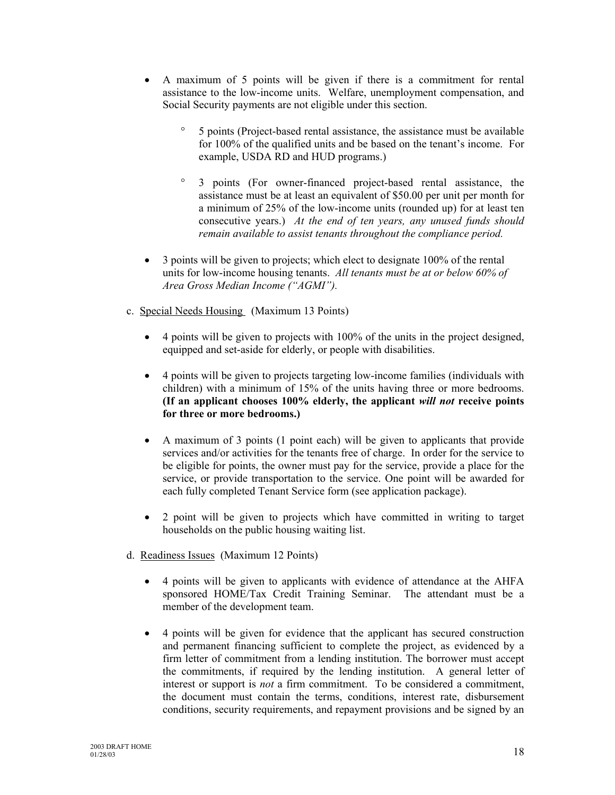- A maximum of 5 points will be given if there is a commitment for rental assistance to the low-income units. Welfare, unemployment compensation, and Social Security payments are not eligible under this section.
	- ° 5 points (Project-based rental assistance, the assistance must be available for 100% of the qualified units and be based on the tenant's income. For example, USDA RD and HUD programs.)
	- ° 3 points (For owner-financed project-based rental assistance, the assistance must be at least an equivalent of \$50.00 per unit per month for a minimum of 25% of the low-income units (rounded up) for at least ten consecutive years.) *At the end of ten years, any unused funds should remain available to assist tenants throughout the compliance period.*
- 3 points will be given to projects; which elect to designate 100% of the rental units for low-income housing tenants. *All tenants must be at or below 60% of Area Gross Median Income ("AGMI").*
- c. Special Needs Housing (Maximum 13 Points)
	- 4 points will be given to projects with 100% of the units in the project designed, equipped and set-aside for elderly, or people with disabilities.
	- 4 points will be given to projects targeting low-income families (individuals with children) with a minimum of 15% of the units having three or more bedrooms. **(If an applicant chooses 100% elderly, the applicant** *will not* **receive points for three or more bedrooms.)**
	- A maximum of 3 points (1 point each) will be given to applicants that provide services and/or activities for the tenants free of charge. In order for the service to be eligible for points, the owner must pay for the service, provide a place for the service, or provide transportation to the service. One point will be awarded for each fully completed Tenant Service form (see application package).
	- 2 point will be given to projects which have committed in writing to target households on the public housing waiting list.
- d. Readiness Issues (Maximum 12 Points)
	- 4 points will be given to applicants with evidence of attendance at the AHFA sponsored HOME/Tax Credit Training Seminar. The attendant must be a member of the development team.
	- 4 points will be given for evidence that the applicant has secured construction and permanent financing sufficient to complete the project, as evidenced by a firm letter of commitment from a lending institution. The borrower must accept the commitments, if required by the lending institution. A general letter of interest or support is *not* a firm commitment. To be considered a commitment, the document must contain the terms, conditions, interest rate, disbursement conditions, security requirements, and repayment provisions and be signed by an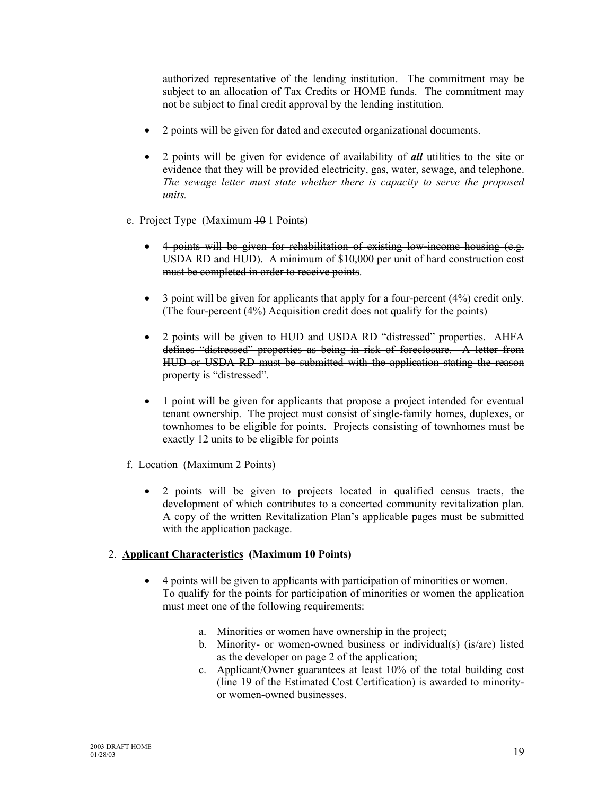authorized representative of the lending institution. The commitment may be subject to an allocation of Tax Credits or HOME funds. The commitment may not be subject to final credit approval by the lending institution.

- 2 points will be given for dated and executed organizational documents.
- 2 points will be given for evidence of availability of *all* utilities to the site or evidence that they will be provided electricity, gas, water, sewage, and telephone. *The sewage letter must state whether there is capacity to serve the proposed units.*
- e. Project Type (Maximum 10 1 Points)
	- 4 points will be given for rehabilitation of existing low-income housing (e.g. USDA RD and HUD). A minimum of \$10,000 per unit of hard construction cost must be completed in order to receive points.
	- 3 point will be given for applicants that apply for a four-percent (4%) credit only. (The four-percent (4%) Acquisition credit does not qualify for the points)
	- 2 points will be given to HUD and USDA RD "distressed" properties. AHFA defines "distressed" properties as being in risk of foreclosure. A letter from HUD or USDA RD must be submitted with the application stating the reason property is "distressed".
	- 1 point will be given for applicants that propose a project intended for eventual tenant ownership. The project must consist of single-family homes, duplexes, or townhomes to be eligible for points. Projects consisting of townhomes must be exactly 12 units to be eligible for points
- f. Location (Maximum 2 Points)
	- 2 points will be given to projects located in qualified census tracts, the development of which contributes to a concerted community revitalization plan. A copy of the written Revitalization Plan's applicable pages must be submitted with the application package.

## 2. **Applicant Characteristics (Maximum 10 Points)**

- 4 points will be given to applicants with participation of minorities or women. To qualify for the points for participation of minorities or women the application must meet one of the following requirements:
	- a. Minorities or women have ownership in the project;
	- b. Minority- or women-owned business or individual(s) (is/are) listed as the developer on page 2 of the application;
	- c. Applicant/Owner guarantees at least 10% of the total building cost (line 19 of the Estimated Cost Certification) is awarded to minorityor women-owned businesses.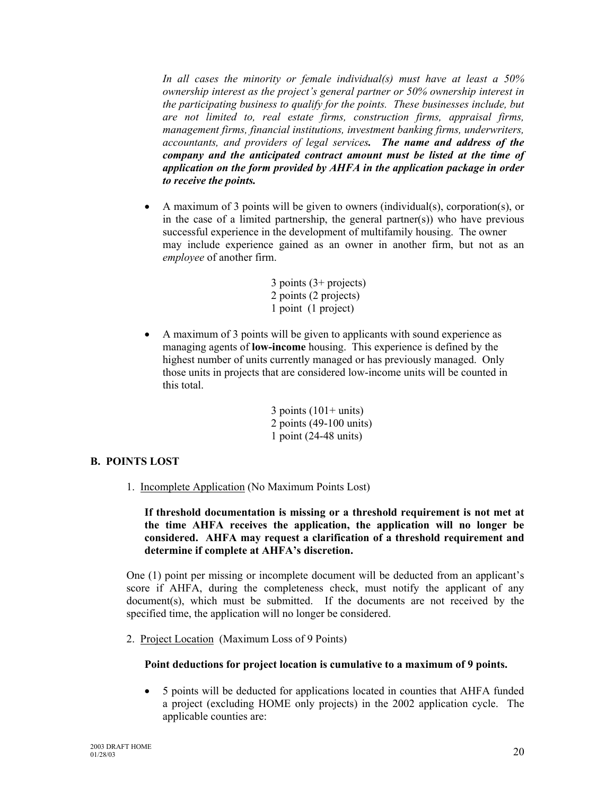*In all cases the minority or female individual(s) must have at least a 50% ownership interest as the project's general partner or 50% ownership interest in the participating business to qualify for the points. These businesses include, but are not limited to, real estate firms, construction firms, appraisal firms, management firms, financial institutions, investment banking firms, underwriters, accountants, and providers of legal services. The name and address of the company and the anticipated contract amount must be listed at the time of application on the form provided by AHFA in the application package in order to receive the points.*

• A maximum of 3 points will be given to owners (individual(s), corporation(s), or in the case of a limited partnership, the general partner(s)) who have previous successful experience in the development of multifamily housing. The owner may include experience gained as an owner in another firm, but not as an *employee* of another firm.

```
3 points (3+ projects)
2 points (2 projects)
1 point (1 project)
```
• A maximum of 3 points will be given to applicants with sound experience as managing agents of **low-income** housing. This experience is defined by the highest number of units currently managed or has previously managed. Only those units in projects that are considered low-income units will be counted in this total.

> $3$  points  $(101+$  units) 2 points (49-100 units) 1 point (24-48 units)

## **B. POINTS LOST**

1. Incomplete Application (No Maximum Points Lost)

**If threshold documentation is missing or a threshold requirement is not met at the time AHFA receives the application, the application will no longer be considered. AHFA may request a clarification of a threshold requirement and determine if complete at AHFA's discretion.**

One (1) point per missing or incomplete document will be deducted from an applicant's score if AHFA, during the completeness check, must notify the applicant of any document(s), which must be submitted. If the documents are not received by the specified time, the application will no longer be considered.

2. Project Location (Maximum Loss of 9 Points)

## **Point deductions for project location is cumulative to a maximum of 9 points.**

• 5 points will be deducted for applications located in counties that AHFA funded a project (excluding HOME only projects) in the 2002 application cycle. The applicable counties are: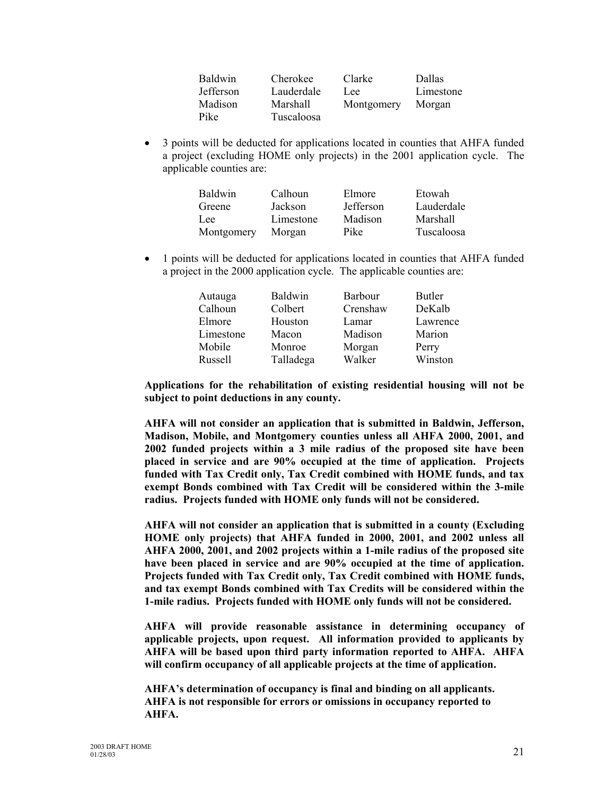| <b>Baldwin</b>   | Cherokee   | Clarke     | Dallas    |
|------------------|------------|------------|-----------|
| <b>Jefferson</b> | Lauderdale | Lee        | Limestone |
| Madison          | Marshall   | Montgomery | Morgan    |
| Pike             | Tuscaloosa |            |           |

• 3 points will be deducted for applications located in counties that AHFA funded a project (excluding HOME only projects) in the 2001 application cycle. The applicable counties are:

| <b>Baldwin</b> | Calhoun   | Elmore    | Etowah     |
|----------------|-----------|-----------|------------|
| Greene         | Jackson   | Jefferson | Lauderdale |
| Lee            | Limestone | Madison   | Marshall   |
| Montgomery     | Morgan    | Pike      | Tuscaloosa |

• 1 points will be deducted for applications located in counties that AHFA funded a project in the 2000 application cycle. The applicable counties are:

| <b>Baldwin</b> | <b>Barbour</b> | Butler   |
|----------------|----------------|----------|
| Colbert        | Crenshaw       | DeKalb   |
| Houston        | Lamar          | Lawrence |
| Macon          | Madison        | Marion   |
| Monroe         | Morgan         | Perry    |
| Talladega      | Walker         | Winston  |
|                |                |          |

**Applications for the rehabilitation of existing residential housing will not be subject to point deductions in any county.**

**AHFA will not consider an application that is submitted in Baldwin, Jefferson, Madison, Mobile, and Montgomery counties unless all AHFA 2000, 2001, and 2002 funded projects within a 3 mile radius of the proposed site have been placed in service and are 90% occupied at the time of application. Projects funded with Tax Credit only, Tax Credit combined with HOME funds, and tax exempt Bonds combined with Tax Credit will be considered within the 3-mile radius. Projects funded with HOME only funds will not be considered.** 

**AHFA will not consider an application that is submitted in a county (Excluding HOME only projects) that AHFA funded in 2000, 2001, and 2002 unless all AHFA 2000, 2001, and 2002 projects within a 1-mile radius of the proposed site have been placed in service and are 90% occupied at the time of application. Projects funded with Tax Credit only, Tax Credit combined with HOME funds, and tax exempt Bonds combined with Tax Credits will be considered within the 1-mile radius. Projects funded with HOME only funds will not be considered.**

**AHFA will provide reasonable assistance in determining occupancy of applicable projects, upon request. All information provided to applicants by AHFA will be based upon third party information reported to AHFA. AHFA will confirm occupancy of all applicable projects at the time of application.** 

**AHFA's determination of occupancy is final and binding on all applicants. AHFA is not responsible for errors or omissions in occupancy reported to AHFA.**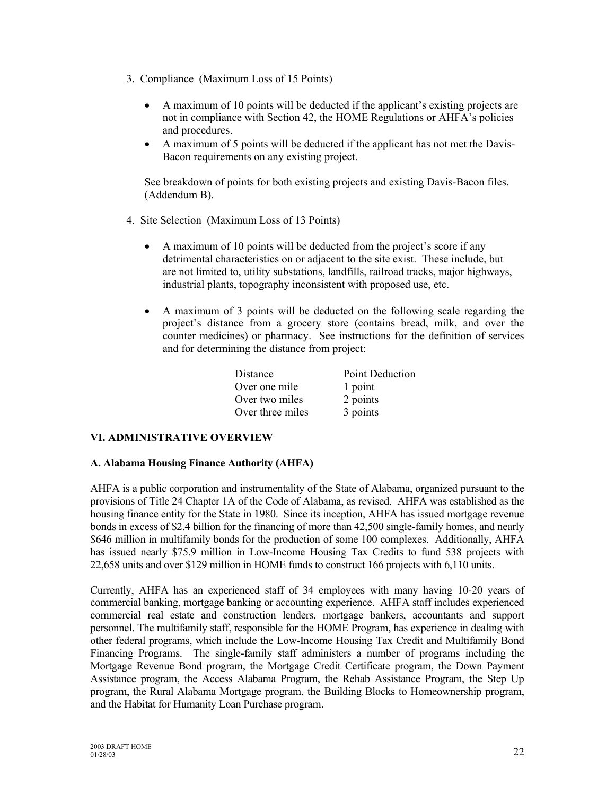- 3. Compliance (Maximum Loss of 15 Points)
	- A maximum of 10 points will be deducted if the applicant's existing projects are not in compliance with Section 42, the HOME Regulations or AHFA's policies and procedures.
	- A maximum of 5 points will be deducted if the applicant has not met the Davis-Bacon requirements on any existing project.

See breakdown of points for both existing projects and existing Davis-Bacon files. (Addendum B).

- 4. Site Selection (Maximum Loss of 13 Points)
	- A maximum of 10 points will be deducted from the project's score if any detrimental characteristics on or adjacent to the site exist. These include, but are not limited to, utility substations, landfills, railroad tracks, major highways, industrial plants, topography inconsistent with proposed use, etc.
	- A maximum of 3 points will be deducted on the following scale regarding the project's distance from a grocery store (contains bread, milk, and over the counter medicines) or pharmacy. See instructions for the definition of services and for determining the distance from project:

| Distance         | <b>Point Deduction</b> |  |
|------------------|------------------------|--|
| Over one mile    | 1 point                |  |
| Over two miles   | 2 points               |  |
| Over three miles | 3 points               |  |

## **VI. ADMINISTRATIVE OVERVIEW**

## **A. Alabama Housing Finance Authority (AHFA)**

AHFA is a public corporation and instrumentality of the State of Alabama, organized pursuant to the provisions of Title 24 Chapter 1A of the Code of Alabama, as revised. AHFA was established as the housing finance entity for the State in 1980. Since its inception, AHFA has issued mortgage revenue bonds in excess of \$2.4 billion for the financing of more than 42,500 single-family homes, and nearly \$646 million in multifamily bonds for the production of some 100 complexes. Additionally, AHFA has issued nearly \$75.9 million in Low-Income Housing Tax Credits to fund 538 projects with 22,658 units and over \$129 million in HOME funds to construct 166 projects with 6,110 units.

Currently, AHFA has an experienced staff of 34 employees with many having 10-20 years of commercial banking, mortgage banking or accounting experience. AHFA staff includes experienced commercial real estate and construction lenders, mortgage bankers, accountants and support personnel. The multifamily staff, responsible for the HOME Program, has experience in dealing with other federal programs, which include the Low-Income Housing Tax Credit and Multifamily Bond Financing Programs. The single-family staff administers a number of programs including the Mortgage Revenue Bond program, the Mortgage Credit Certificate program, the Down Payment Assistance program, the Access Alabama Program, the Rehab Assistance Program, the Step Up program, the Rural Alabama Mortgage program, the Building Blocks to Homeownership program, and the Habitat for Humanity Loan Purchase program.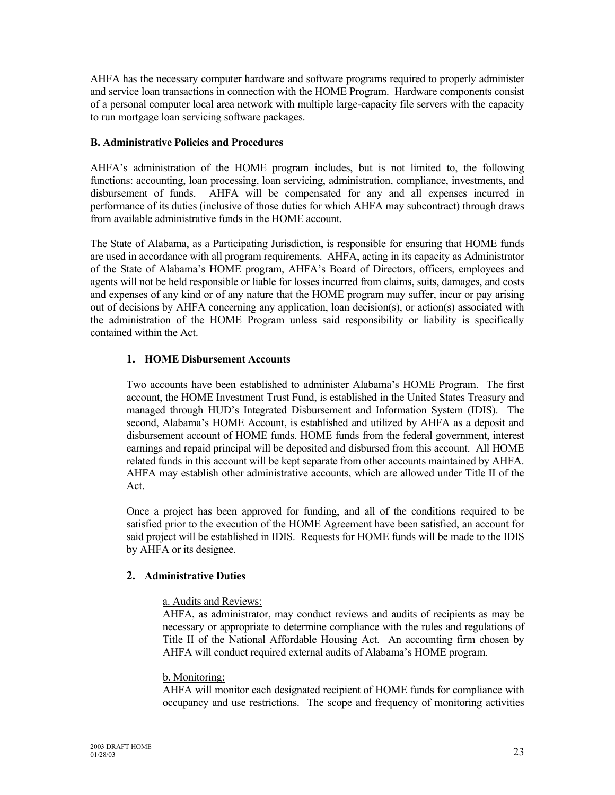AHFA has the necessary computer hardware and software programs required to properly administer and service loan transactions in connection with the HOME Program. Hardware components consist of a personal computer local area network with multiple large-capacity file servers with the capacity to run mortgage loan servicing software packages.

## **B. Administrative Policies and Procedures**

AHFA's administration of the HOME program includes, but is not limited to, the following functions: accounting, loan processing, loan servicing, administration, compliance, investments, and disbursement of funds. AHFA will be compensated for any and all expenses incurred in performance of its duties (inclusive of those duties for which AHFA may subcontract) through draws from available administrative funds in the HOME account.

The State of Alabama, as a Participating Jurisdiction, is responsible for ensuring that HOME funds are used in accordance with all program requirements. AHFA, acting in its capacity as Administrator of the State of Alabama's HOME program, AHFA's Board of Directors, officers, employees and agents will not be held responsible or liable for losses incurred from claims, suits, damages, and costs and expenses of any kind or of any nature that the HOME program may suffer, incur or pay arising out of decisions by AHFA concerning any application, loan decision(s), or action(s) associated with the administration of the HOME Program unless said responsibility or liability is specifically contained within the Act.

## **1. HOME Disbursement Accounts**

Two accounts have been established to administer Alabama's HOME Program. The first account, the HOME Investment Trust Fund, is established in the United States Treasury and managed through HUD's Integrated Disbursement and Information System (IDIS). The second, Alabama's HOME Account, is established and utilized by AHFA as a deposit and disbursement account of HOME funds. HOME funds from the federal government, interest earnings and repaid principal will be deposited and disbursed from this account. All HOME related funds in this account will be kept separate from other accounts maintained by AHFA. AHFA may establish other administrative accounts, which are allowed under Title II of the Act.

Once a project has been approved for funding, and all of the conditions required to be satisfied prior to the execution of the HOME Agreement have been satisfied, an account for said project will be established in IDIS. Requests for HOME funds will be made to the IDIS by AHFA or its designee.

## **2. Administrative Duties**

## a. Audits and Reviews:

AHFA, as administrator, may conduct reviews and audits of recipients as may be necessary or appropriate to determine compliance with the rules and regulations of Title II of the National Affordable Housing Act. An accounting firm chosen by AHFA will conduct required external audits of Alabama's HOME program.

## b. Monitoring:

AHFA will monitor each designated recipient of HOME funds for compliance with occupancy and use restrictions. The scope and frequency of monitoring activities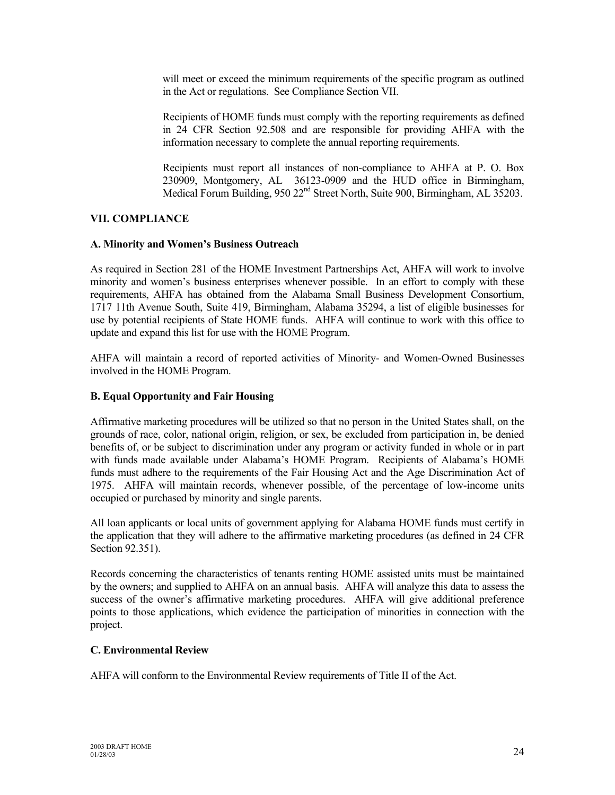will meet or exceed the minimum requirements of the specific program as outlined in the Act or regulations. See Compliance Section VII.

Recipients of HOME funds must comply with the reporting requirements as defined in 24 CFR Section 92.508 and are responsible for providing AHFA with the information necessary to complete the annual reporting requirements.

Recipients must report all instances of non-compliance to AHFA at P. O. Box 230909, Montgomery, AL 36123-0909 and the HUD office in Birmingham, Medical Forum Building, 950 22<sup>nd</sup> Street North, Suite 900, Birmingham, AL 35203.

## **VII. COMPLIANCE**

## **A. Minority and Women's Business Outreach**

As required in Section 281 of the HOME Investment Partnerships Act, AHFA will work to involve minority and women's business enterprises whenever possible. In an effort to comply with these requirements, AHFA has obtained from the Alabama Small Business Development Consortium, 1717 11th Avenue South, Suite 419, Birmingham, Alabama 35294, a list of eligible businesses for use by potential recipients of State HOME funds. AHFA will continue to work with this office to update and expand this list for use with the HOME Program.

AHFA will maintain a record of reported activities of Minority- and Women-Owned Businesses involved in the HOME Program.

## **B. Equal Opportunity and Fair Housing**

Affirmative marketing procedures will be utilized so that no person in the United States shall, on the grounds of race, color, national origin, religion, or sex, be excluded from participation in, be denied benefits of, or be subject to discrimination under any program or activity funded in whole or in part with funds made available under Alabama's HOME Program. Recipients of Alabama's HOME funds must adhere to the requirements of the Fair Housing Act and the Age Discrimination Act of 1975. AHFA will maintain records, whenever possible, of the percentage of low-income units occupied or purchased by minority and single parents.

All loan applicants or local units of government applying for Alabama HOME funds must certify in the application that they will adhere to the affirmative marketing procedures (as defined in 24 CFR Section 92.351).

Records concerning the characteristics of tenants renting HOME assisted units must be maintained by the owners; and supplied to AHFA on an annual basis. AHFA will analyze this data to assess the success of the owner's affirmative marketing procedures. AHFA will give additional preference points to those applications, which evidence the participation of minorities in connection with the project.

## **C. Environmental Review**

AHFA will conform to the Environmental Review requirements of Title II of the Act.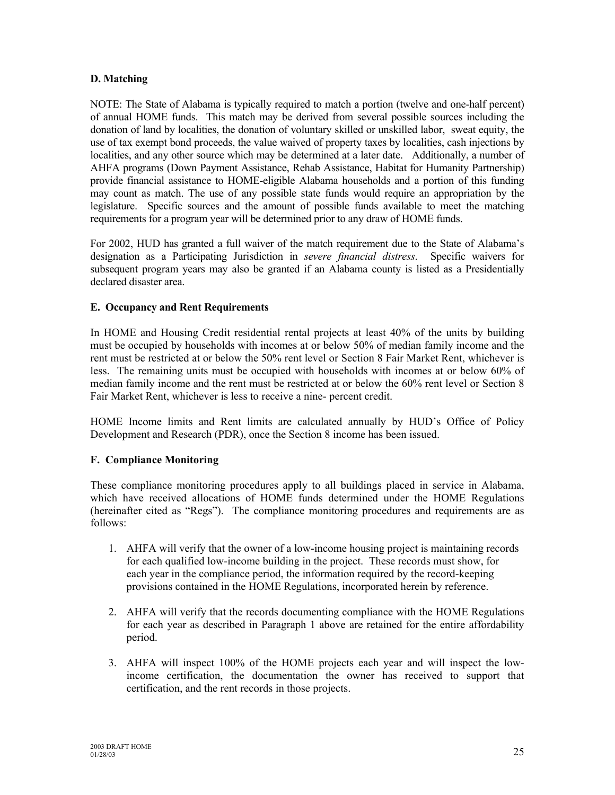## **D. Matching**

NOTE: The State of Alabama is typically required to match a portion (twelve and one-half percent) of annual HOME funds. This match may be derived from several possible sources including the donation of land by localities, the donation of voluntary skilled or unskilled labor, sweat equity, the use of tax exempt bond proceeds, the value waived of property taxes by localities, cash injections by localities, and any other source which may be determined at a later date. Additionally, a number of AHFA programs (Down Payment Assistance, Rehab Assistance, Habitat for Humanity Partnership) provide financial assistance to HOME-eligible Alabama households and a portion of this funding may count as match. The use of any possible state funds would require an appropriation by the legislature. Specific sources and the amount of possible funds available to meet the matching requirements for a program year will be determined prior to any draw of HOME funds.

For 2002, HUD has granted a full waiver of the match requirement due to the State of Alabama's designation as a Participating Jurisdiction in *severe financial distress*. Specific waivers for subsequent program years may also be granted if an Alabama county is listed as a Presidentially declared disaster area.

## **E. Occupancy and Rent Requirements**

In HOME and Housing Credit residential rental projects at least 40% of the units by building must be occupied by households with incomes at or below 50% of median family income and the rent must be restricted at or below the 50% rent level or Section 8 Fair Market Rent, whichever is less. The remaining units must be occupied with households with incomes at or below 60% of median family income and the rent must be restricted at or below the 60% rent level or Section 8 Fair Market Rent, whichever is less to receive a nine- percent credit.

HOME Income limits and Rent limits are calculated annually by HUD's Office of Policy Development and Research (PDR), once the Section 8 income has been issued.

## **F. Compliance Monitoring**

These compliance monitoring procedures apply to all buildings placed in service in Alabama, which have received allocations of HOME funds determined under the HOME Regulations (hereinafter cited as "Regs"). The compliance monitoring procedures and requirements are as follows:

- 1. AHFA will verify that the owner of a low-income housing project is maintaining records for each qualified low-income building in the project. These records must show, for each year in the compliance period, the information required by the record-keeping provisions contained in the HOME Regulations, incorporated herein by reference.
- 2. AHFA will verify that the records documenting compliance with the HOME Regulations for each year as described in Paragraph 1 above are retained for the entire affordability period.
- 3. AHFA will inspect 100% of the HOME projects each year and will inspect the lowincome certification, the documentation the owner has received to support that certification, and the rent records in those projects.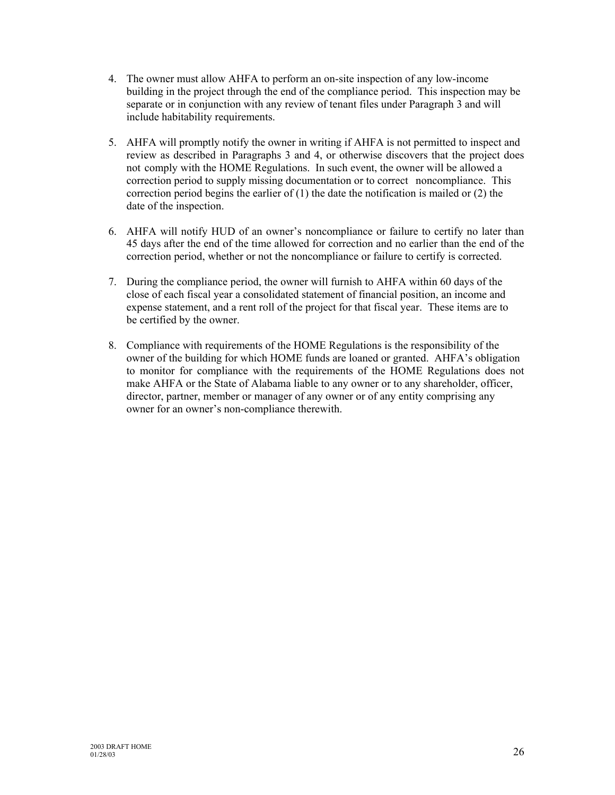- 4. The owner must allow AHFA to perform an on-site inspection of any low-income building in the project through the end of the compliance period. This inspection may be separate or in conjunction with any review of tenant files under Paragraph 3 and will include habitability requirements.
- 5. AHFA will promptly notify the owner in writing if AHFA is not permitted to inspect and review as described in Paragraphs 3 and 4, or otherwise discovers that the project does not comply with the HOME Regulations. In such event, the owner will be allowed a correction period to supply missing documentation or to correct noncompliance. This correction period begins the earlier of  $(1)$  the date the notification is mailed or  $(2)$  the date of the inspection.
- 6. AHFA will notify HUD of an owner's noncompliance or failure to certify no later than 45 days after the end of the time allowed for correction and no earlier than the end of the correction period, whether or not the noncompliance or failure to certify is corrected.
- 7. During the compliance period, the owner will furnish to AHFA within 60 days of the close of each fiscal year a consolidated statement of financial position, an income and expense statement, and a rent roll of the project for that fiscal year. These items are to be certified by the owner.
- 8. Compliance with requirements of the HOME Regulations is the responsibility of the owner of the building for which HOME funds are loaned or granted. AHFA's obligation to monitor for compliance with the requirements of the HOME Regulations does not make AHFA or the State of Alabama liable to any owner or to any shareholder, officer, director, partner, member or manager of any owner or of any entity comprising any owner for an owner's non-compliance therewith.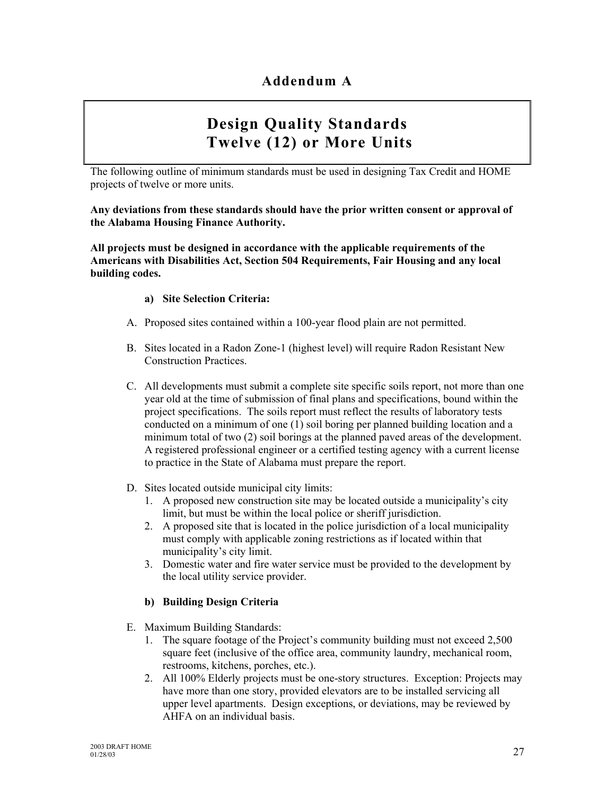# **Design Quality Standards Twelve (12) or More Units**

The following outline of minimum standards must be used in designing Tax Credit and HOME projects of twelve or more units.

## **Any deviations from these standards should have the prior written consent or approval of the Alabama Housing Finance Authority.**

**All projects must be designed in accordance with the applicable requirements of the Americans with Disabilities Act, Section 504 Requirements, Fair Housing and any local building codes.**

## **a) Site Selection Criteria:**

- A. Proposed sites contained within a 100-year flood plain are not permitted.
- B. Sites located in a Radon Zone-1 (highest level) will require Radon Resistant New Construction Practices.
- C. All developments must submit a complete site specific soils report, not more than one year old at the time of submission of final plans and specifications, bound within the project specifications. The soils report must reflect the results of laboratory tests conducted on a minimum of one (1) soil boring per planned building location and a minimum total of two (2) soil borings at the planned paved areas of the development. A registered professional engineer or a certified testing agency with a current license to practice in the State of Alabama must prepare the report.
- D. Sites located outside municipal city limits:
	- 1. A proposed new construction site may be located outside a municipality's city limit, but must be within the local police or sheriff jurisdiction.
	- 2. A proposed site that is located in the police jurisdiction of a local municipality must comply with applicable zoning restrictions as if located within that municipality's city limit.
	- 3. Domestic water and fire water service must be provided to the development by the local utility service provider.

## **b) Building Design Criteria**

- E. Maximum Building Standards:
	- 1. The square footage of the Project's community building must not exceed 2,500 square feet (inclusive of the office area, community laundry, mechanical room, restrooms, kitchens, porches, etc.).
	- 2. All 100% Elderly projects must be one-story structures. Exception: Projects may have more than one story, provided elevators are to be installed servicing all upper level apartments. Design exceptions, or deviations, may be reviewed by AHFA on an individual basis.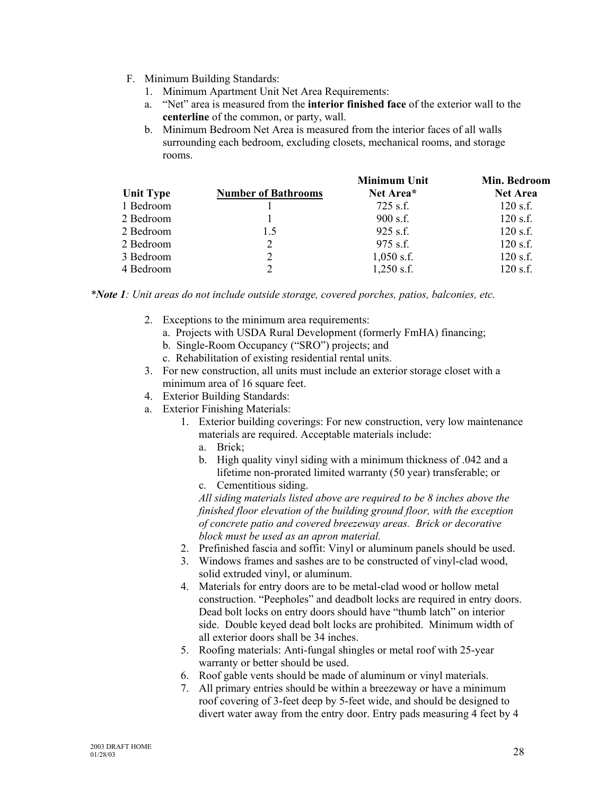- F. Minimum Building Standards:
	- 1. Minimum Apartment Unit Net Area Requirements:
	- a. "Net" area is measured from the **interior finished face** of the exterior wall to the **centerline** of the common, or party, wall.
	- b. Minimum Bedroom Net Area is measured from the interior faces of all walls surrounding each bedroom, excluding closets, mechanical rooms, and storage rooms.

|                            | <b>Minimum Unit</b> | Min. Bedroom    |
|----------------------------|---------------------|-----------------|
| <b>Number of Bathrooms</b> | Net Area*           | <b>Net Area</b> |
|                            | $725$ s.f.          | $120$ s.f.      |
|                            | $900$ s.f.          | $120$ s.f.      |
| 1.5                        | $925$ s.f.          | $120$ s.f.      |
| 2                          | $975$ s.f.          | $120$ s.f.      |
| 2                          | $1,050$ s.f.        | $120$ s.f.      |
| 2                          | $1,250$ s.f.        | $120$ s.f.      |
|                            |                     |                 |

*\*Note 1: Unit areas do not include outside storage, covered porches, patios, balconies, etc.*

- 2. Exceptions to the minimum area requirements:
	- a. Projects with USDA Rural Development (formerly FmHA) financing;
	- b. Single-Room Occupancy ("SRO") projects; and
	- c. Rehabilitation of existing residential rental units.
- 3. For new construction, all units must include an exterior storage closet with a minimum area of 16 square feet.
- 4. Exterior Building Standards:
- a. Exterior Finishing Materials:
	- 1. Exterior building coverings: For new construction, very low maintenance materials are required. Acceptable materials include:
		- a. Brick;
		- b. High quality vinyl siding with a minimum thickness of .042 and a lifetime non-prorated limited warranty (50 year) transferable; or
		- c. Cementitious siding.

*All siding materials listed above are required to be 8 inches above the finished floor elevation of the building ground floor, with the exception of concrete patio and covered breezeway areas. Brick or decorative block must be used as an apron material.*

- 2. Prefinished fascia and soffit: Vinyl or aluminum panels should be used.
- 3. Windows frames and sashes are to be constructed of vinyl-clad wood, solid extruded vinyl, or aluminum.
- 4. Materials for entry doors are to be metal-clad wood or hollow metal construction. "Peepholes" and deadbolt locks are required in entry doors. Dead bolt locks on entry doors should have "thumb latch" on interior side. Double keyed dead bolt locks are prohibited. Minimum width of all exterior doors shall be 34 inches.
- 5. Roofing materials: Anti-fungal shingles or metal roof with 25-year warranty or better should be used.
- 6. Roof gable vents should be made of aluminum or vinyl materials.
- 7. All primary entries should be within a breezeway or have a minimum roof covering of 3-feet deep by 5-feet wide, and should be designed to divert water away from the entry door. Entry pads measuring 4 feet by 4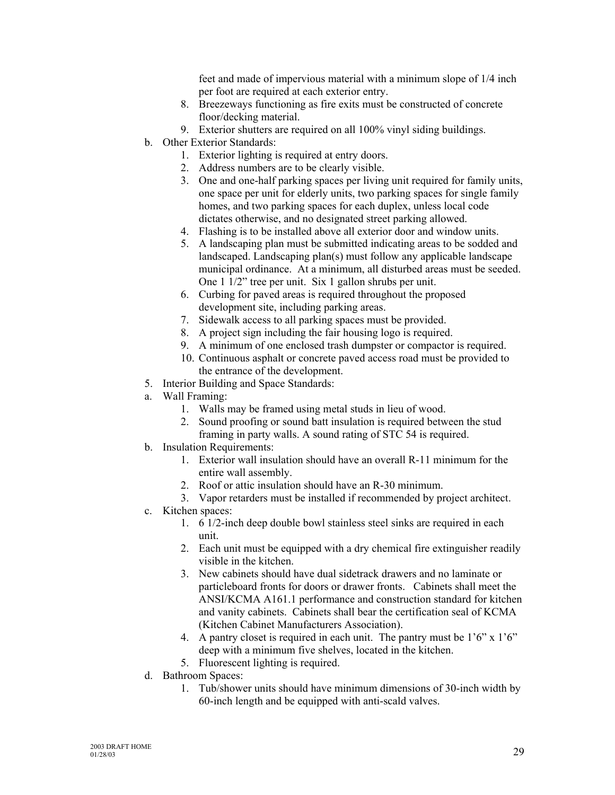feet and made of impervious material with a minimum slope of 1/4 inch per foot are required at each exterior entry.

- 8. Breezeways functioning as fire exits must be constructed of concrete floor/decking material.
- 9. Exterior shutters are required on all 100% vinyl siding buildings.
- b. Other Exterior Standards:
	- 1. Exterior lighting is required at entry doors.
	- 2. Address numbers are to be clearly visible.
	- 3. One and one-half parking spaces per living unit required for family units, one space per unit for elderly units, two parking spaces for single family homes, and two parking spaces for each duplex, unless local code dictates otherwise, and no designated street parking allowed.
	- 4. Flashing is to be installed above all exterior door and window units.
	- 5. A landscaping plan must be submitted indicating areas to be sodded and landscaped. Landscaping plan(s) must follow any applicable landscape municipal ordinance. At a minimum, all disturbed areas must be seeded. One 1 1/2" tree per unit. Six 1 gallon shrubs per unit.
	- 6. Curbing for paved areas is required throughout the proposed development site, including parking areas.
	- 7. Sidewalk access to all parking spaces must be provided.
	- 8. A project sign including the fair housing logo is required.
	- 9. A minimum of one enclosed trash dumpster or compactor is required.
	- 10. Continuous asphalt or concrete paved access road must be provided to the entrance of the development.
- 5. Interior Building and Space Standards:
- a. Wall Framing:
	- 1. Walls may be framed using metal studs in lieu of wood.
	- 2. Sound proofing or sound batt insulation is required between the stud framing in party walls. A sound rating of STC 54 is required.
- b. Insulation Requirements:
	- 1. Exterior wall insulation should have an overall R-11 minimum for the entire wall assembly.
	- 2. Roof or attic insulation should have an R-30 minimum.
	- 3. Vapor retarders must be installed if recommended by project architect.
- c. Kitchen spaces:
	- 1. 6 1/2-inch deep double bowl stainless steel sinks are required in each unit.
	- 2. Each unit must be equipped with a dry chemical fire extinguisher readily visible in the kitchen.
	- 3. New cabinets should have dual sidetrack drawers and no laminate or particleboard fronts for doors or drawer fronts. Cabinets shall meet the ANSI/KCMA A161.1 performance and construction standard for kitchen and vanity cabinets. Cabinets shall bear the certification seal of KCMA (Kitchen Cabinet Manufacturers Association).
	- 4. A pantry closet is required in each unit. The pantry must be 1'6" x 1'6" deep with a minimum five shelves, located in the kitchen.
	- 5. Fluorescent lighting is required.
- d. Bathroom Spaces:
	- 1. Tub/shower units should have minimum dimensions of 30-inch width by 60-inch length and be equipped with anti-scald valves.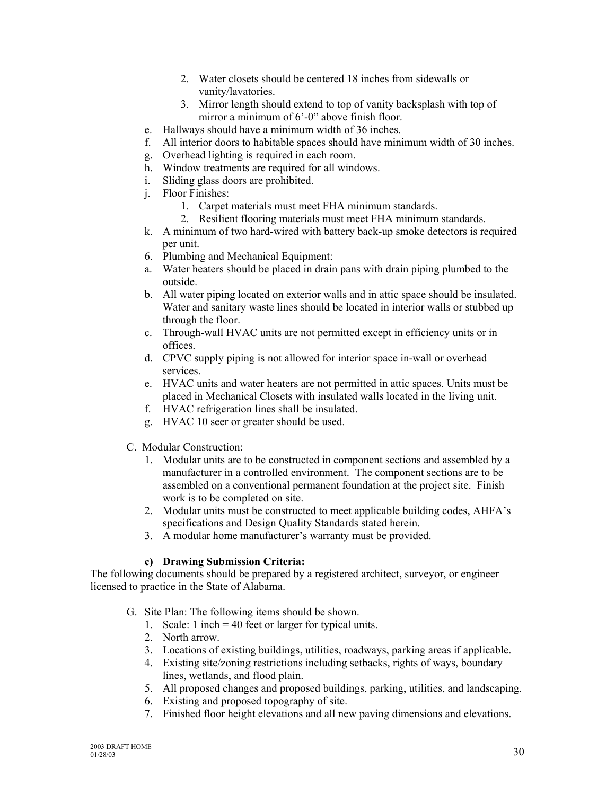- 2. Water closets should be centered 18 inches from sidewalls or vanity/lavatories.
- 3. Mirror length should extend to top of vanity backsplash with top of mirror a minimum of 6'-0" above finish floor.
- e. Hallways should have a minimum width of 36 inches.
- f. All interior doors to habitable spaces should have minimum width of 30 inches.
- g. Overhead lighting is required in each room.
- h. Window treatments are required for all windows.
- i. Sliding glass doors are prohibited.
- j. Floor Finishes:
	- 1. Carpet materials must meet FHA minimum standards.
	- 2. Resilient flooring materials must meet FHA minimum standards.
- k. A minimum of two hard-wired with battery back-up smoke detectors is required per unit.
- 6. Plumbing and Mechanical Equipment:
- a. Water heaters should be placed in drain pans with drain piping plumbed to the outside.
- b. All water piping located on exterior walls and in attic space should be insulated. Water and sanitary waste lines should be located in interior walls or stubbed up through the floor.
- c. Through-wall HVAC units are not permitted except in efficiency units or in offices.
- d. CPVC supply piping is not allowed for interior space in-wall or overhead services.
- e. HVAC units and water heaters are not permitted in attic spaces. Units must be placed in Mechanical Closets with insulated walls located in the living unit.
- f. HVAC refrigeration lines shall be insulated.
- g. HVAC 10 seer or greater should be used.
- C. Modular Construction:
	- 1. Modular units are to be constructed in component sections and assembled by a manufacturer in a controlled environment. The component sections are to be assembled on a conventional permanent foundation at the project site. Finish work is to be completed on site.
	- 2. Modular units must be constructed to meet applicable building codes, AHFA's specifications and Design Quality Standards stated herein.
	- 3. A modular home manufacturer's warranty must be provided.

## **c) Drawing Submission Criteria:**

The following documents should be prepared by a registered architect, surveyor, or engineer licensed to practice in the State of Alabama.

- G. Site Plan: The following items should be shown.
	- 1. Scale: 1 inch = 40 feet or larger for typical units.
	- 2. North arrow.
	- 3. Locations of existing buildings, utilities, roadways, parking areas if applicable.
	- 4. Existing site/zoning restrictions including setbacks, rights of ways, boundary lines, wetlands, and flood plain.
	- 5. All proposed changes and proposed buildings, parking, utilities, and landscaping.
	- 6. Existing and proposed topography of site.
	- 7. Finished floor height elevations and all new paving dimensions and elevations.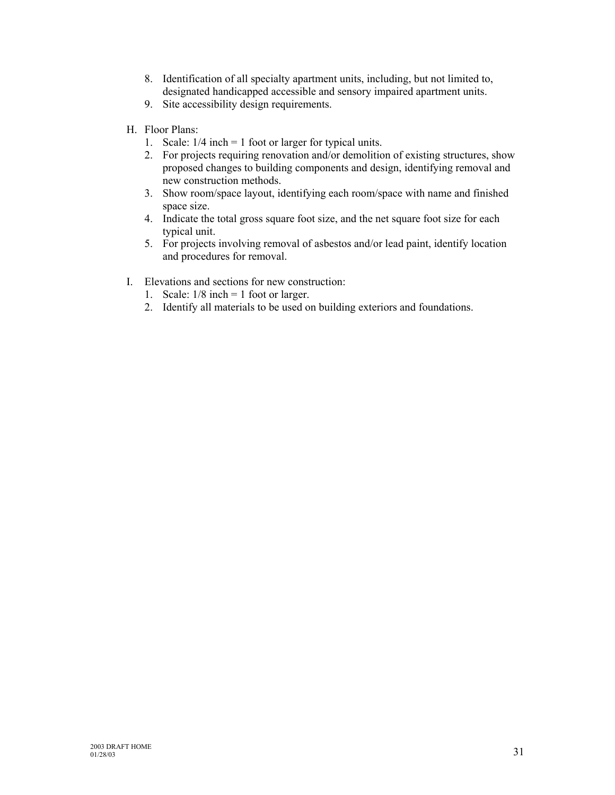- 8. Identification of all specialty apartment units, including, but not limited to, designated handicapped accessible and sensory impaired apartment units.
- 9. Site accessibility design requirements.
- H. Floor Plans:
	- 1. Scale: 1/4 inch = 1 foot or larger for typical units.
	- 2. For projects requiring renovation and/or demolition of existing structures, show proposed changes to building components and design, identifying removal and new construction methods.
	- 3. Show room/space layout, identifying each room/space with name and finished space size.
	- 4. Indicate the total gross square foot size, and the net square foot size for each typical unit.
	- 5. For projects involving removal of asbestos and/or lead paint, identify location and procedures for removal.
- I. Elevations and sections for new construction:
	- 1. Scale:  $1/8$  inch = 1 foot or larger.
	- 2. Identify all materials to be used on building exteriors and foundations.